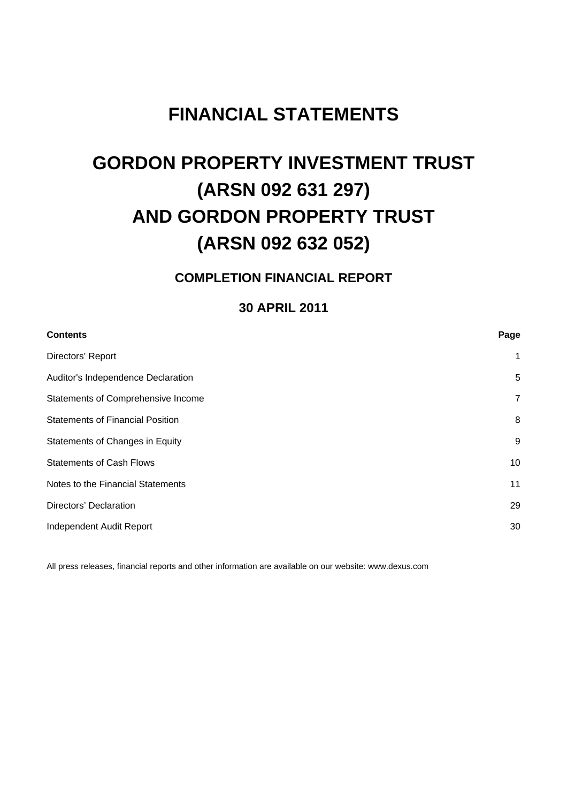## **FINANCIAL STATEMENTS**

## **GORDON PROPERTY INVESTMENT TRUST (ARSN 092 631 297) AND GORDON PROPERTY TRUST (ARSN 092 632 052)**

## **COMPLETION FINANCIAL REPORT**

## **30 APRIL 2011**

| Page         |
|--------------|
| $\mathbf{1}$ |
| 5            |
| 7            |
| 8            |
| 9            |
| 10           |
| 11           |
| 29           |
| 30           |
|              |

All press releases, financial reports and other information are available on our website: www.dexus.com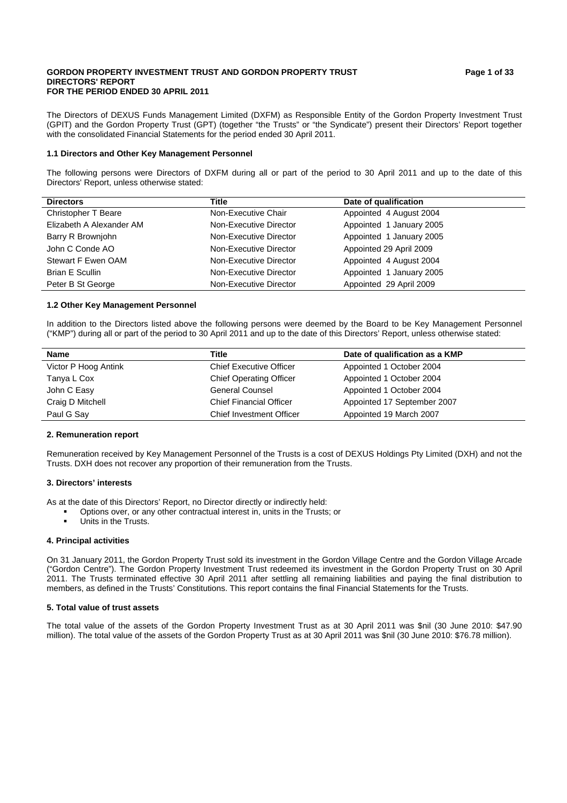#### GORDON PROPERTY INVESTMENT TRUST AND GORDON PROPERTY TRUST **Fig. 2** Page 1 of 33 **DIRECTORS' REPORT FOR THE PERIOD ENDED 30 APRIL 2011**

The Directors of DEXUS Funds Management Limited (DXFM) as Responsible Entity of the Gordon Property Investment Trust (GPIT) and the Gordon Property Trust (GPT) (together "the Trusts" or "the Syndicate") present their Directors' Report together with the consolidated Financial Statements for the period ended 30 April 2011.

## **1.1 Directors and Other Key Management Personnel**

The following persons were Directors of DXFM during all or part of the period to 30 April 2011 and up to the date of this Directors' Report, unless otherwise stated:

| <b>Directors</b>           | Title                  | Date of qualification    |
|----------------------------|------------------------|--------------------------|
| <b>Christopher T Beare</b> | Non-Executive Chair    | Appointed 4 August 2004  |
| Elizabeth A Alexander AM   | Non-Executive Director | Appointed 1 January 2005 |
| Barry R Brownjohn          | Non-Executive Director | Appointed 1 January 2005 |
| John C Conde AO            | Non-Executive Director | Appointed 29 April 2009  |
| Stewart F Ewen OAM         | Non-Executive Director | Appointed 4 August 2004  |
| <b>Brian E Scullin</b>     | Non-Executive Director | Appointed 1 January 2005 |
| Peter B St George          | Non-Executive Director | Appointed 29 April 2009  |

## **1.2 Other Key Management Personnel**

In addition to the Directors listed above the following persons were deemed by the Board to be Key Management Personnel ("KMP") during all or part of the period to 30 April 2011 and up to the date of this Directors' Report, unless otherwise stated:

| <b>Name</b>          | Title                           | Date of qualification as a KMP |
|----------------------|---------------------------------|--------------------------------|
| Victor P Hoog Antink | <b>Chief Executive Officer</b>  | Appointed 1 October 2004       |
| Tanya L Cox          | <b>Chief Operating Officer</b>  | Appointed 1 October 2004       |
| John C Easy          | <b>General Counsel</b>          | Appointed 1 October 2004       |
| Craig D Mitchell     | <b>Chief Financial Officer</b>  | Appointed 17 September 2007    |
| Paul G Say           | <b>Chief Investment Officer</b> | Appointed 19 March 2007        |

## **2. Remuneration report**

Remuneration received by Key Management Personnel of the Trusts is a cost of DEXUS Holdings Pty Limited (DXH) and not the Trusts. DXH does not recover any proportion of their remuneration from the Trusts.

## **3. Directors' interests**

As at the date of this Directors' Report, no Director directly or indirectly held:

- Options over, or any other contractual interest in, units in the Trusts; or
- **•** Units in the Trusts.

## **4. Principal activities**

On 31 January 2011, the Gordon Property Trust sold its investment in the Gordon Village Centre and the Gordon Village Arcade ("Gordon Centre"). The Gordon Property Investment Trust redeemed its investment in the Gordon Property Trust on 30 April 2011. The Trusts terminated effective 30 April 2011 after settling all remaining liabilities and paying the final distribution to members, as defined in the Trusts' Constitutions. This report contains the final Financial Statements for the Trusts.

## **5. Total value of trust assets**

The total value of the assets of the Gordon Property Investment Trust as at 30 April 2011 was \$nil (30 June 2010: \$47.90 million). The total value of the assets of the Gordon Property Trust as at 30 April 2011 was \$nil (30 June 2010: \$76.78 million).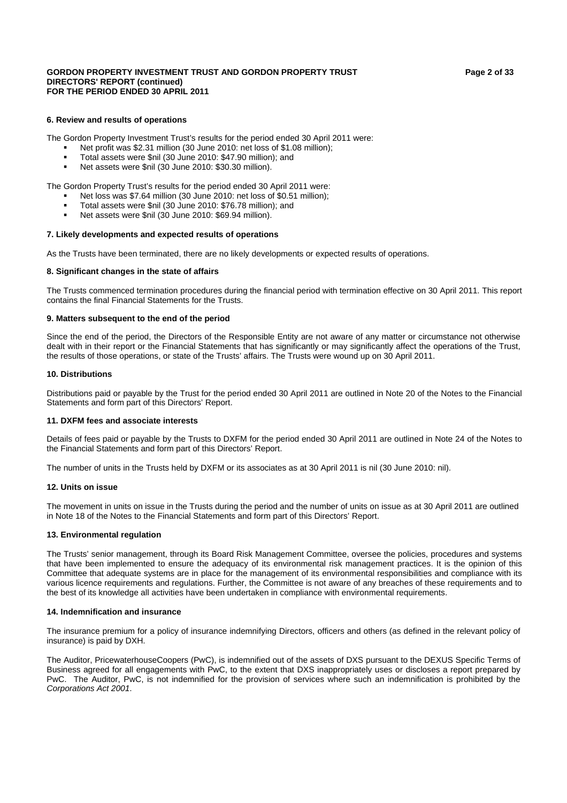## GORDON PROPERTY INVESTMENT TRUST AND GORDON PROPERTY TRUST **Fig. 2** Page 2 of 33 **DIRECTORS' REPORT (continued) FOR THE PERIOD ENDED 30 APRIL 2011**

## **6. Review and results of operations**

The Gordon Property Investment Trust's results for the period ended 30 April 2011 were:

- Net profit was \$2.31 million (30 June 2010: net loss of \$1.08 million);
- Total assets were \$nil (30 June 2010: \$47.90 million); and
- Net assets were \$nil (30 June 2010: \$30.30 million).

The Gordon Property Trust's results for the period ended 30 April 2011 were:

- Net loss was \$7.64 million (30 June 2010: net loss of \$0.51 million);
- Total assets were \$nil (30 June 2010: \$76.78 million); and
- Net assets were \$nil (30 June 2010: \$69.94 million).

## **7. Likely developments and expected results of operations**

As the Trusts have been terminated, there are no likely developments or expected results of operations.

## **8. Significant changes in the state of affairs**

The Trusts commenced termination procedures during the financial period with termination effective on 30 April 2011. This report contains the final Financial Statements for the Trusts.

## **9. Matters subsequent to the end of the period**

Since the end of the period, the Directors of the Responsible Entity are not aware of any matter or circumstance not otherwise dealt with in their report or the Financial Statements that has significantly or may significantly affect the operations of the Trust, the results of those operations, or state of the Trusts' affairs. The Trusts were wound up on 30 April 2011.

## **10. Distributions**

Distributions paid or payable by the Trust for the period ended 30 April 2011 are outlined in Note 20 of the Notes to the Financial Statements and form part of this Directors' Report.

## **11. DXFM fees and associate interests**

Details of fees paid or payable by the Trusts to DXFM for the period ended 30 April 2011 are outlined in Note 24 of the Notes to the Financial Statements and form part of this Directors' Report.

The number of units in the Trusts held by DXFM or its associates as at 30 April 2011 is nil (30 June 2010: nil).

## **12. Units on issue**

The movement in units on issue in the Trusts during the period and the number of units on issue as at 30 April 2011 are outlined in Note 18 of the Notes to the Financial Statements and form part of this Directors' Report.

## **13. Environmental regulation**

The Trusts' senior management, through its Board Risk Management Committee, oversee the policies, procedures and systems that have been implemented to ensure the adequacy of its environmental risk management practices. It is the opinion of this Committee that adequate systems are in place for the management of its environmental responsibilities and compliance with its various licence requirements and regulations. Further, the Committee is not aware of any breaches of these requirements and to the best of its knowledge all activities have been undertaken in compliance with environmental requirements.

## **14. Indemnification and insurance**

The insurance premium for a policy of insurance indemnifying Directors, officers and others (as defined in the relevant policy of insurance) is paid by DXH.

The Auditor, PricewaterhouseCoopers (PwC), is indemnified out of the assets of DXS pursuant to the DEXUS Specific Terms of Business agreed for all engagements with PwC, to the extent that DXS inappropriately uses or discloses a report prepared by PwC. The Auditor, PwC, is not indemnified for the provision of services where such an indemnification is prohibited by the *Corporations Act 2001*.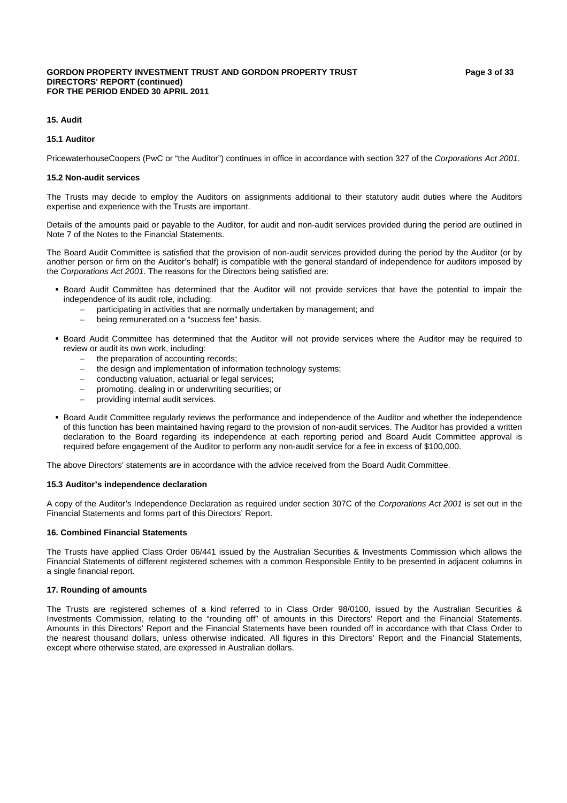#### GORDON PROPERTY INVESTMENT TRUST AND GORDON PROPERTY TRUST **Fig. 3** Page 3 of 33 **DIRECTORS' REPORT (continued) FOR THE PERIOD ENDED 30 APRIL 2011**

## **15.1 Auditor**

PricewaterhouseCoopers (PwC or "the Auditor") continues in office in accordance with section 327 of the *Corporations Act 2001*.

## **15.2 Non-audit services**

The Trusts may decide to employ the Auditors on assignments additional to their statutory audit duties where the Auditors expertise and experience with the Trusts are important.

Details of the amounts paid or payable to the Auditor, for audit and non-audit services provided during the period are outlined in Note 7 of the Notes to the Financial Statements.

The Board Audit Committee is satisfied that the provision of non-audit services provided during the period by the Auditor (or by another person or firm on the Auditor's behalf) is compatible with the general standard of independence for auditors imposed by the *Corporations Act 2001*. The reasons for the Directors being satisfied are:

- Board Audit Committee has determined that the Auditor will not provide services that have the potential to impair the independence of its audit role, including:
	- participating in activities that are normally undertaken by management; and
	- − being remunerated on a "success fee" basis.
- Board Audit Committee has determined that the Auditor will not provide services where the Auditor may be required to review or audit its own work, including:
	- the preparation of accounting records;
	- the design and implementation of information technology systems;
	- conducting valuation, actuarial or legal services;
	- − promoting, dealing in or underwriting securities; or
	- providing internal audit services.
- Board Audit Committee regularly reviews the performance and independence of the Auditor and whether the independence of this function has been maintained having regard to the provision of non-audit services. The Auditor has provided a written declaration to the Board regarding its independence at each reporting period and Board Audit Committee approval is required before engagement of the Auditor to perform any non-audit service for a fee in excess of \$100,000.

The above Directors' statements are in accordance with the advice received from the Board Audit Committee.

## **15.3 Auditor's independence declaration**

A copy of the Auditor's Independence Declaration as required under section 307C of the *Corporations Act 2001* is set out in the Financial Statements and forms part of this Directors' Report.

## **16. Combined Financial Statements**

The Trusts have applied Class Order 06/441 issued by the Australian Securities & Investments Commission which allows the Financial Statements of different registered schemes with a common Responsible Entity to be presented in adjacent columns in a single financial report.

## **17. Rounding of amounts**

The Trusts are registered schemes of a kind referred to in Class Order 98/0100, issued by the Australian Securities & Investments Commission, relating to the "rounding off" of amounts in this Directors' Report and the Financial Statements. Amounts in this Directors' Report and the Financial Statements have been rounded off in accordance with that Class Order to the nearest thousand dollars, unless otherwise indicated. All figures in this Directors' Report and the Financial Statements, except where otherwise stated, are expressed in Australian dollars.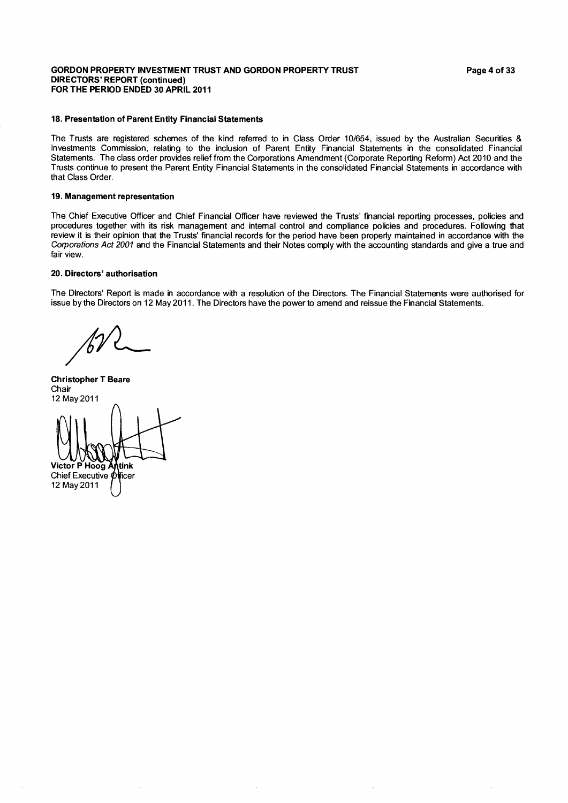## **GORDON PROPERTY INVESTMENT TRUST AND GORDON PROPERTY TRUST DIRECTORS' REPORT (continued)** FOR THE PERIOD ENDED 30 APRIL 2011

## 18. Presentation of Parent Entity Financial Statements

The Trusts are registered schemes of the kind referred to in Class Order 10/654, issued by the Australian Securities & Investments Commission, relating to the inclusion of Parent Entity Financial Statements in the consolidated Financial Statements. The class order provides relief from the Corporations Amendment (Corporate Reporting Reform) Act 2010 and the Trusts continue to present the Parent Entity Financial Statements in the consolidated Financial Statements in accordance with that Class Order.

## 19. Management representation

The Chief Executive Officer and Chief Financial Officer have reviewed the Trusts' financial reporting processes, policies and procedures together with its risk management and internal control and compliance policies and procedures. Following that review it is their opinion that the Trusts' financial records for the period have been properly maintained in accordance with the Corporations Act 2001 and the Financial Statements and their Notes comply with the accounting standards and give a true and fair view.

## 20. Directors' authorisation

The Directors' Report is made in accordance with a resolution of the Directors. The Financial Statements were authorised for issue by the Directors on 12 May 2011. The Directors have the power to amend and reissue the Financial Statements.

**Christopher T Beare** Chair 12 May 2011 Victor P Hoog Antink Chief Executive *Officer* 

12 May 2011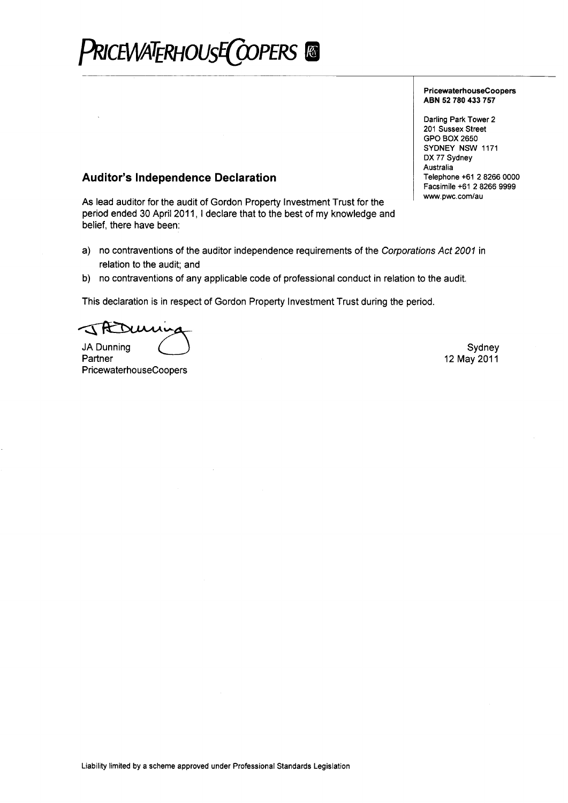# PRICEWATERHOUSE COPERS &

## PricewaterhouseCoopers ABN 52 780 433 757

Darling Park Tower 2 201 Sussex Street GPO BOX 2650 SYDNEY NSW 1171 DX 77 Sydney Australia Telephone +61 2 8266 0000 Facsimile +61 2 8266 9999 www.pwc.com/au

## **Auditor's Independence Declaration**

As lead auditor for the audit of Gordon Property Investment Trust for the period ended 30 April 2011, I declare that to the best of my knowledge and belief, there have been:

- a) no contraventions of the auditor independence requirements of the Corporations Act 2001 in relation to the audit; and
- b) no contraventions of any applicable code of professional conduct in relation to the audit.

This declaration is in respect of Gordon Property Investment Trust during the period.

Deuring **JA Dunning** 

Partner PricewaterhouseCoopers

Sydney 12 May 2011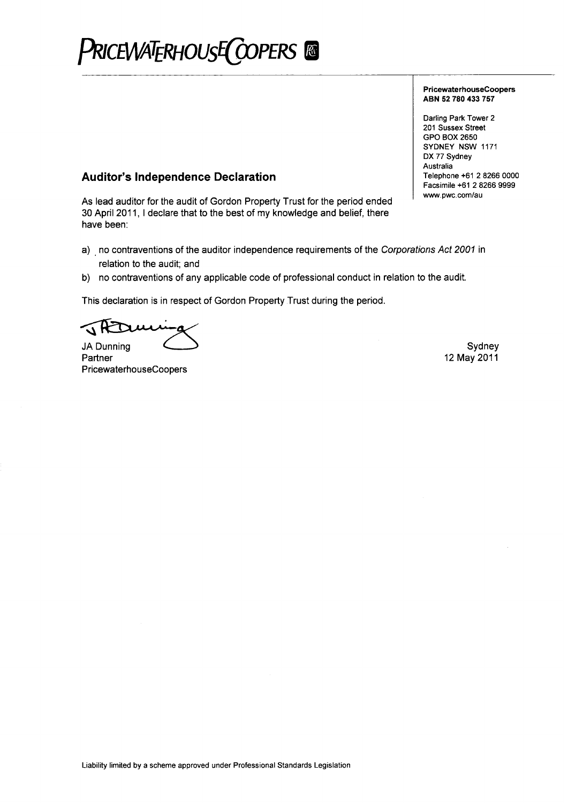# PRICEWATERHOUSE COPERS

## PricewaterhouseCoopers ABN 52 780 433 757

Darling Park Tower 2 201 Sussex Street GPO BOX 2650 SYDNEY NSW 1171 DX 77 Sydney Australia Telephone +61 2 8266 0000 Facsimile +61 2 8266 9999 www.pwc.com/au

## **Auditor's Independence Declaration**

As lead auditor for the audit of Gordon Property Trust for the period ended 30 April 2011, I declare that to the best of my knowledge and belief, there have been:

- a) no contraventions of the auditor independence requirements of the Corporations Act 2001 in relation to the audit; and
- b) no contraventions of any applicable code of professional conduct in relation to the audit.

This declaration is in respect of Gordon Property Trust during the period.

**JA Dunning** 

Partner PricewaterhouseCoopers

Sydney 12 May 2011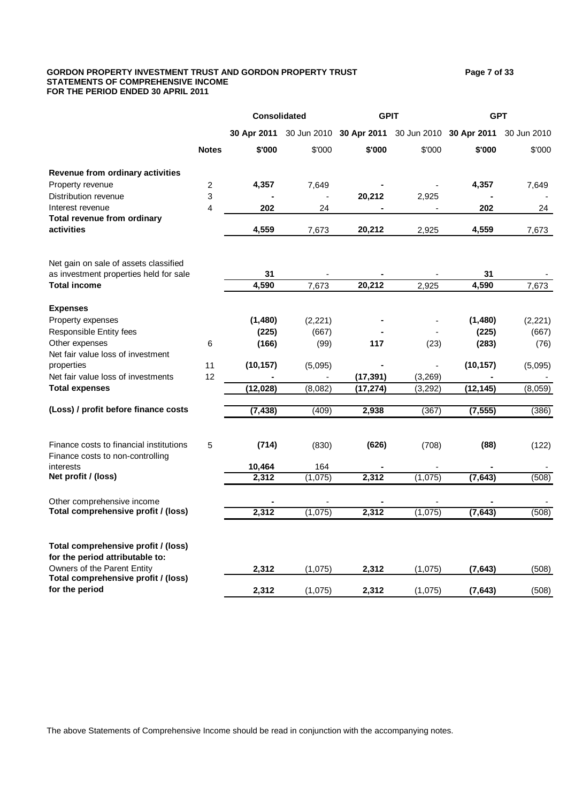## GORDON PROPERTY INVESTMENT TRUST AND GORDON PROPERTY TRUST **Page 7** of 33 **STATEMENTS OF COMPREHENSIVE INCOME FOR THE PERIOD ENDED 30 APRIL 2011**

|                                                                             |              | <b>Consolidated</b> |          | <b>GPIT</b>                                     |         | <b>GPT</b> |             |  |
|-----------------------------------------------------------------------------|--------------|---------------------|----------|-------------------------------------------------|---------|------------|-------------|--|
|                                                                             |              | 30 Apr 2011         |          | 30 Jun 2010 30 Apr 2011 30 Jun 2010 30 Apr 2011 |         |            | 30 Jun 2010 |  |
|                                                                             | <b>Notes</b> | \$'000              | \$'000   | \$'000                                          | \$'000  | \$'000     | \$'000      |  |
| Revenue from ordinary activities                                            |              |                     |          |                                                 |         |            |             |  |
| Property revenue                                                            | 2            | 4,357               | 7,649    |                                                 |         | 4,357      | 7,649       |  |
| Distribution revenue                                                        | 3            |                     |          | 20,212                                          | 2,925   |            |             |  |
| Interest revenue                                                            | 4            | 202                 | 24       |                                                 |         | 202        | 24          |  |
| Total revenue from ordinary<br>activities                                   |              | 4,559               | 7,673    | 20,212                                          | 2,925   | 4,559      | 7,673       |  |
| Net gain on sale of assets classified                                       |              |                     |          |                                                 |         |            |             |  |
| as investment properties held for sale                                      |              | 31                  |          |                                                 |         | 31         |             |  |
| <b>Total income</b>                                                         |              | 4,590               | 7,673    | 20,212                                          | 2,925   | 4,590      | 7,673       |  |
| <b>Expenses</b>                                                             |              |                     |          |                                                 |         |            |             |  |
| Property expenses                                                           |              | (1,480)             | (2, 221) |                                                 |         | (1,480)    | (2, 221)    |  |
| Responsible Entity fees                                                     |              | (225)               | (667)    |                                                 |         | (225)      | (667)       |  |
| Other expenses                                                              | 6            | (166)               | (99)     | 117                                             | (23)    | (283)      | (76)        |  |
| Net fair value loss of investment                                           |              |                     |          |                                                 |         |            |             |  |
| properties                                                                  | 11           | (10, 157)           | (5,095)  |                                                 |         | (10, 157)  | (5,095)     |  |
| Net fair value loss of investments                                          | 12           |                     |          | (17, 391)                                       | (3,269) |            |             |  |
| <b>Total expenses</b>                                                       |              | (12, 028)           | (8,082)  | (17, 274)                                       | (3,292) | (12, 145)  | (8,059)     |  |
| (Loss) / profit before finance costs                                        |              | (7, 438)            | (409)    | 2,938                                           | (367)   | (7, 555)   | (386)       |  |
|                                                                             |              |                     |          |                                                 |         |            |             |  |
| Finance costs to financial institutions<br>Finance costs to non-controlling | 5            | (714)               | (830)    | (626)                                           | (708)   | (88)       | (122)       |  |
| interests                                                                   |              | 10,464              | 164      |                                                 |         |            |             |  |
| Net profit / (loss)                                                         |              | 2,312               | (1,075)  | 2,312                                           | (1,075) | (7, 643)   | (508)       |  |
| Other comprehensive income                                                  |              |                     |          |                                                 |         |            |             |  |
| Total comprehensive profit / (loss)                                         |              | 2,312               | (1,075)  | 2,312                                           | (1,075) | (7, 643)   | (508)       |  |
| Total comprehensive profit / (loss)<br>for the period attributable to:      |              |                     |          |                                                 |         |            |             |  |
| Owners of the Parent Entity                                                 |              | 2,312               | (1,075)  | 2,312                                           | (1,075) | (7, 643)   | (508)       |  |
| Total comprehensive profit / (loss)<br>for the period                       |              | 2,312               | (1,075)  | 2,312                                           | (1,075) | (7, 643)   | (508)       |  |

The above Statements of Comprehensive Income should be read in conjunction with the accompanying notes.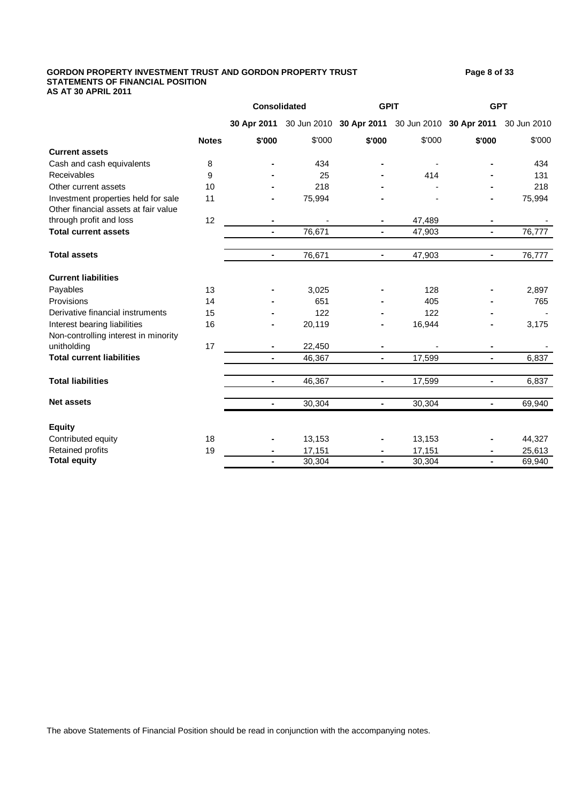#### GORDON PROPERTY INVESTMENT TRUST AND GORDON PROPERTY TRUST **Page 8** of 33 **STATEMENTS OF FINANCIAL POSITION AS AT 30 APRIL 2011**

**30 Apr 2011** 30 Jun 2010 **30 Apr 2011** 30 Jun 2010 **30 Apr 2011** 30 Jun 2010 **Notes \$'000** \$'000 **\$'000** \$'000 **\$'000** \$'000 **Current assets** Cash and cash equivalents 8 **-** 434 **-** - **-** 434 Receivables 9 **-** 25 **-** 414 **-** 131 Other current assets 10 **-** 218 **-** - **-** 218 Investment properties held for sale 11 **-** 75,994 **-** - **-** 75,994 Other financial assets at fair value through profit and loss 12 **-** - **-** 47,489 **-** - **Total current assets -** 76,671 **-** 47,903 **-** 76,777 **Total assets -** 76,671 **-** 47,903 **-** 76,777 **Current liabilities** Payables 13 **-** 3,025 **-** 128 **-** 2,897 Provisions 14 **-** 651 **-** 405 **-** 765 Derivative financial instruments 15 **-** 122 **-** 122 **-** - Interest bearing liabilities 16 **-** 20,119 **-** 16,944 **-** 3,175 Non-controlling interest in minority unitholding 17 **-** 22,450 **-** - **-** - **Total current liabilities -** 46,367 **-** 17,599 **-** 6,837 **Total liabilities -** 46,367 **-** 17,599 **-** 6,837 **Net assets -** 30,304 **-** 30,304 **-** 69,940 **Equity Consolidated GPIT GPT**

| Equity             |    |                |        |                |        |                |        |
|--------------------|----|----------------|--------|----------------|--------|----------------|--------|
| Contributed equity | 18 | $\blacksquare$ | 13.153 | $\blacksquare$ | 13,153 | $\blacksquare$ | 44,327 |
| Retained profits   | 19 | $\blacksquare$ | 7.151  |                | 7.151  |                | 25,613 |
| Total equity       |    | $\blacksquare$ | 30.304 |                | 30,304 |                | 69,940 |
|                    |    |                |        |                |        |                |        |

The above Statements of Financial Position should be read in conjunction with the accompanying notes.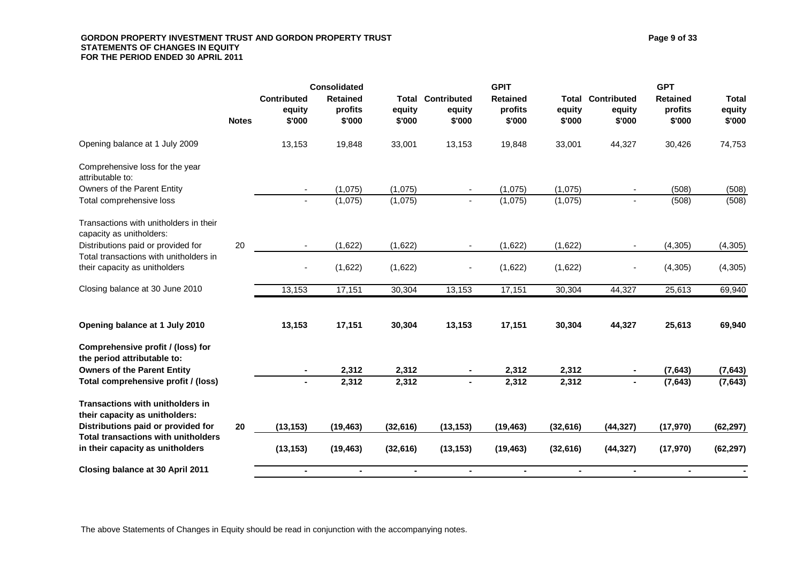## GORDON PROPERTY INVESTMENT TRUST AND GORDON PROPERTY TRUST **Page 9 of 33** Page 9 of 33 **STATEMENTS OF CHANGES IN EQUITY FOR THE PERIOD ENDED 30 APRIL 2011**

|                                                                                |                                        | <b>Consolidated</b>                  |                                  |                                 | <b>GPIT</b>                          |                           |                                 | <b>GPT</b>                           |                                  |
|--------------------------------------------------------------------------------|----------------------------------------|--------------------------------------|----------------------------------|---------------------------------|--------------------------------------|---------------------------|---------------------------------|--------------------------------------|----------------------------------|
| <b>Notes</b>                                                                   | <b>Contributed</b><br>equity<br>\$'000 | <b>Retained</b><br>profits<br>\$'000 | <b>Total</b><br>equity<br>\$'000 | Contributed<br>equity<br>\$'000 | <b>Retained</b><br>profits<br>\$'000 | Total<br>equity<br>\$'000 | Contributed<br>equity<br>\$'000 | <b>Retained</b><br>profits<br>\$'000 | <b>Total</b><br>equity<br>\$'000 |
| Opening balance at 1 July 2009                                                 | 13,153                                 | 19,848                               | 33,001                           | 13,153                          | 19,848                               | 33,001                    | 44,327                          | 30,426                               | 74,753                           |
| Comprehensive loss for the year<br>attributable to:                            |                                        |                                      |                                  |                                 |                                      |                           |                                 |                                      |                                  |
| Owners of the Parent Entity                                                    |                                        | (1,075)                              | (1,075)                          |                                 | (1,075)                              | (1,075)                   |                                 | (508)                                | (508)                            |
| Total comprehensive loss                                                       | $\blacksquare$                         | (1,075)                              | (1,075)                          | $\sim$                          | (1,075)                              | (1,075)                   | $\blacksquare$                  | (508)                                | (508)                            |
| Transactions with unitholders in their<br>capacity as unitholders:             |                                        |                                      |                                  |                                 |                                      |                           |                                 |                                      |                                  |
| 20<br>Distributions paid or provided for                                       |                                        | (1,622)                              | (1,622)                          |                                 | (1,622)                              | (1,622)                   | $\blacksquare$                  | (4, 305)                             | (4, 305)                         |
| Total transactions with unitholders in<br>their capacity as unitholders        |                                        | (1,622)                              | (1,622)                          |                                 | (1,622)                              | (1,622)                   |                                 | (4, 305)                             | (4, 305)                         |
| Closing balance at 30 June 2010                                                | 13,153                                 | 17,151                               | 30,304                           | 13,153                          | 17,151                               | 30,304                    | 44,327                          | 25,613                               | 69,940                           |
| Opening balance at 1 July 2010                                                 | 13,153                                 | 17,151                               | 30,304                           | 13,153                          | 17,151                               | 30,304                    | 44,327                          | 25,613                               | 69,940                           |
| Comprehensive profit / (loss) for<br>the period attributable to:               |                                        |                                      |                                  |                                 |                                      |                           |                                 |                                      |                                  |
| <b>Owners of the Parent Entity</b>                                             |                                        | 2,312                                | 2,312                            |                                 | 2,312                                | 2,312                     |                                 | (7, 643)                             | (7, 643)                         |
| Total comprehensive profit / (loss)                                            |                                        | 2,312                                | 2,312                            |                                 | 2,312                                | 2,312                     | $\blacksquare$                  | (7, 643)                             | (7, 643)                         |
| <b>Transactions with unitholders in</b><br>their capacity as unitholders:      |                                        |                                      |                                  |                                 |                                      |                           |                                 |                                      |                                  |
| Distributions paid or provided for<br>20                                       | (13, 153)                              | (19, 463)                            | (32, 616)                        | (13, 153)                       | (19, 463)                            | (32, 616)                 | (44, 327)                       | (17, 970)                            | (62, 297)                        |
| <b>Total transactions with unitholders</b><br>in their capacity as unitholders | (13, 153)                              | (19, 463)                            | (32, 616)                        | (13, 153)                       | (19, 463)                            | (32, 616)                 | (44, 327)                       | (17, 970)                            | (62, 297)                        |
| Closing balance at 30 April 2011                                               | $\blacksquare$                         | $\blacksquare$                       | $\blacksquare$                   | $\blacksquare$                  | $\blacksquare$                       | $\blacksquare$            | $\blacksquare$                  | $\blacksquare$                       | $\sim$                           |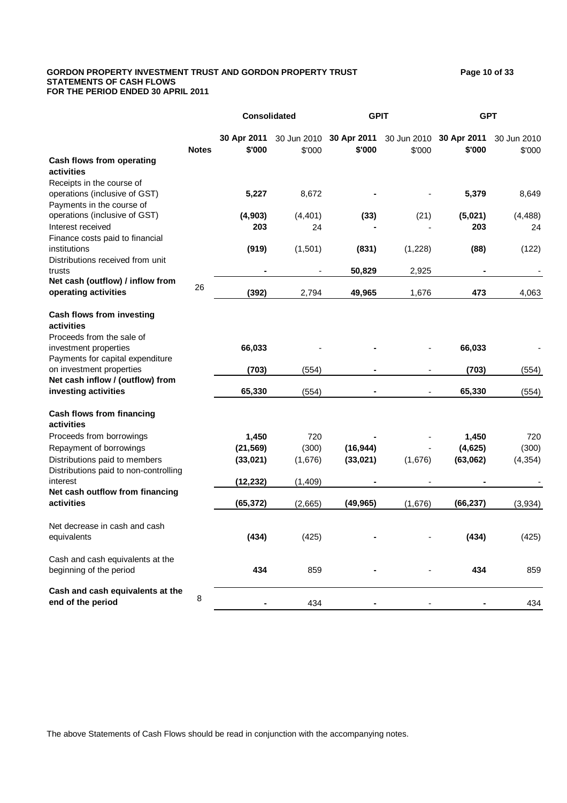## GORDON PROPERTY INVESTMENT TRUST AND GORDON PROPERTY TRUST **Fig. 2008** 20 of 33 **STATEMENTS OF CASH FLOWS FOR THE PERIOD ENDED 30 APRIL 2011**

**30 Apr 2011** 30 Jun 2010 **30 Apr 2011** 30 Jun 2010 **30 Apr 2011** 30 Jun 2010 **Notes \$'000** \$'000 **\$'000** \$'000 **\$'000** \$'000 **Cash flows from operating activities** Receipts in the course of operations (inclusive of GST) **5,227** 8,672 **-** - **5,379** 8,649 Payments in the course of operations (inclusive of GST) **(4,903)** (4,401) **(33)** (21) **(5,021)** (4,488) Interest received **203** 24 **-** - **203** 24 Finance costs paid to financial institutions **(919)** (1,501) **(831)** (1,228) **(88)** (122) Distributions received from unit trusts **-** - **50,829** 2,925 **-** - **Net cash (outflow) / inflow from operating activities** <sup>26</sup> **(392)** 2,794 **49,965** 1,676 **<sup>473</sup>** 4,063 **Cash flows from investing activities** Proceeds from the sale of investment properties **66,033** - **-** - **66,033** - Payments for capital expenditure on investment properties **(703)** (554) **-** - **(703)** (554) **Net cash inflow / (outflow) from investing activities 65,330** (554) **-** - **65,330** (554) **Cash flows from financing activities** Proceeds from borrowings **1,450** 720 **-** - **1,450** 720 Repayment of borrowings **(21,569)** (300) **(16,944)** - **(4,625)** (300) Distributions paid to members **(33,021)** (1,676) **(33,021)** (1,676) **(63,062)** (4,354) Distributions paid to non-controlling interest **(12,232)** (1,409) **-** - **-** - **Net cash outflow from financing activities (65,372)** (2,665) **(49,965)** (1,676) **(66,237)** (3,934) Net decrease in cash and cash equivalents **(434)** (425) **-** - **(434)** (425) Cash and cash equivalents at the

**Consolidated GPIT GPT**

beginning of the period **434** 859 **-** - **434** 859

**Cash and cash equivalents at the end of the period** <sup>8</sup> **-** <sup>434</sup> **-** - **-** <sup>434</sup>

The above Statements of Cash Flows should be read in conjunction with the accompanying notes.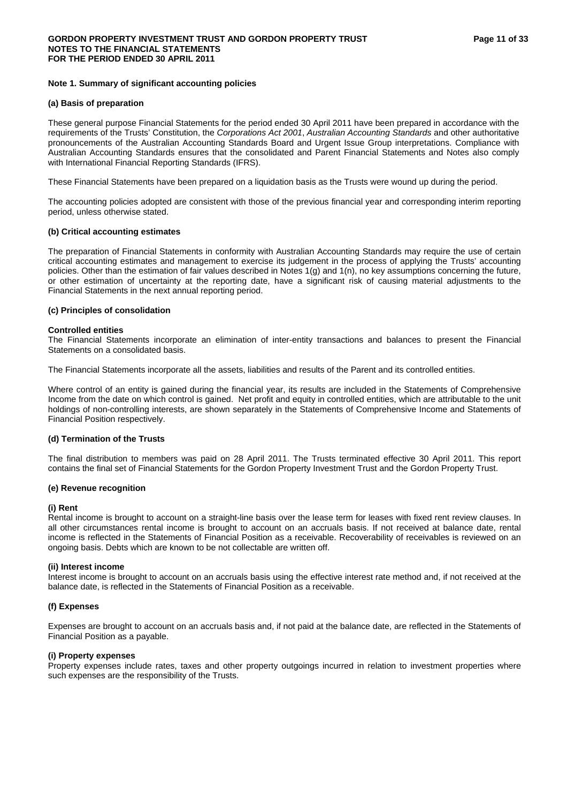## **Note 1. Summary of significant accounting policies**

#### **(a) Basis of preparation**

These general purpose Financial Statements for the period ended 30 April 2011 have been prepared in accordance with the requirements of the Trusts' Constitution, the *Corporations Act 2001*, *Australian Accounting Standards* and other authoritative pronouncements of the Australian Accounting Standards Board and Urgent Issue Group interpretations. Compliance with Australian Accounting Standards ensures that the consolidated and Parent Financial Statements and Notes also comply with International Financial Reporting Standards (IFRS).

These Financial Statements have been prepared on a liquidation basis as the Trusts were wound up during the period.

The accounting policies adopted are consistent with those of the previous financial year and corresponding interim reporting period, unless otherwise stated.

## **(b) Critical accounting estimates**

The preparation of Financial Statements in conformity with Australian Accounting Standards may require the use of certain critical accounting estimates and management to exercise its judgement in the process of applying the Trusts' accounting policies. Other than the estimation of fair values described in Notes 1(g) and 1(n), no key assumptions concerning the future, or other estimation of uncertainty at the reporting date, have a significant risk of causing material adjustments to the Financial Statements in the next annual reporting period.

## **(c) Principles of consolidation**

#### **Controlled entities**

The Financial Statements incorporate an elimination of inter-entity transactions and balances to present the Financial Statements on a consolidated basis.

The Financial Statements incorporate all the assets, liabilities and results of the Parent and its controlled entities.

Where control of an entity is gained during the financial year, its results are included in the Statements of Comprehensive Income from the date on which control is gained. Net profit and equity in controlled entities, which are attributable to the unit holdings of non-controlling interests, are shown separately in the Statements of Comprehensive Income and Statements of Financial Position respectively.

## **(d) Termination of the Trusts**

The final distribution to members was paid on 28 April 2011. The Trusts terminated effective 30 April 2011. This report contains the final set of Financial Statements for the Gordon Property Investment Trust and the Gordon Property Trust.

## **(e) Revenue recognition**

## **(i) Rent**

Rental income is brought to account on a straight-line basis over the lease term for leases with fixed rent review clauses. In all other circumstances rental income is brought to account on an accruals basis. If not received at balance date, rental income is reflected in the Statements of Financial Position as a receivable. Recoverability of receivables is reviewed on an ongoing basis. Debts which are known to be not collectable are written off.

#### **(ii) Interest income**

Interest income is brought to account on an accruals basis using the effective interest rate method and, if not received at the balance date, is reflected in the Statements of Financial Position as a receivable.

## **(f) Expenses**

Expenses are brought to account on an accruals basis and, if not paid at the balance date, are reflected in the Statements of Financial Position as a payable.

#### **(i) Property expenses**

Property expenses include rates, taxes and other property outgoings incurred in relation to investment properties where such expenses are the responsibility of the Trusts.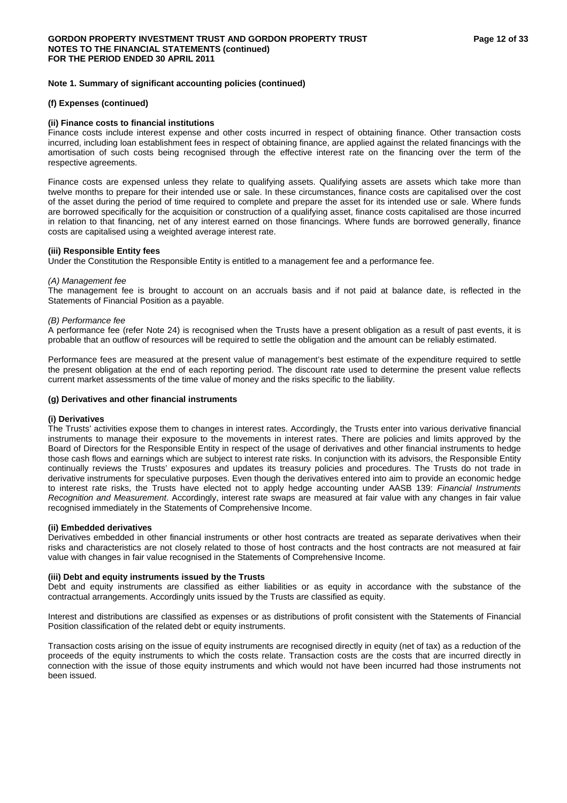## **(f) Expenses (continued)**

## **(ii) Finance costs to financial institutions**

Finance costs include interest expense and other costs incurred in respect of obtaining finance. Other transaction costs incurred, including loan establishment fees in respect of obtaining finance, are applied against the related financings with the amortisation of such costs being recognised through the effective interest rate on the financing over the term of the respective agreements.

Finance costs are expensed unless they relate to qualifying assets. Qualifying assets are assets which take more than twelve months to prepare for their intended use or sale. In these circumstances, finance costs are capitalised over the cost of the asset during the period of time required to complete and prepare the asset for its intended use or sale. Where funds are borrowed specifically for the acquisition or construction of a qualifying asset, finance costs capitalised are those incurred in relation to that financing, net of any interest earned on those financings. Where funds are borrowed generally, finance costs are capitalised using a weighted average interest rate.

## **(iii) Responsible Entity fees**

Under the Constitution the Responsible Entity is entitled to a management fee and a performance fee.

## *(A) Management fee*

The management fee is brought to account on an accruals basis and if not paid at balance date, is reflected in the Statements of Financial Position as a payable.

## *(B) Performance fee*

A performance fee (refer Note 24) is recognised when the Trusts have a present obligation as a result of past events, it is probable that an outflow of resources will be required to settle the obligation and the amount can be reliably estimated.

Performance fees are measured at the present value of management's best estimate of the expenditure required to settle the present obligation at the end of each reporting period. The discount rate used to determine the present value reflects current market assessments of the time value of money and the risks specific to the liability.

## **(g) Derivatives and other financial instruments**

## **(i) Derivatives**

The Trusts' activities expose them to changes in interest rates. Accordingly, the Trusts enter into various derivative financial instruments to manage their exposure to the movements in interest rates. There are policies and limits approved by the Board of Directors for the Responsible Entity in respect of the usage of derivatives and other financial instruments to hedge those cash flows and earnings which are subject to interest rate risks. In conjunction with its advisors, the Responsible Entity continually reviews the Trusts' exposures and updates its treasury policies and procedures. The Trusts do not trade in derivative instruments for speculative purposes. Even though the derivatives entered into aim to provide an economic hedge to interest rate risks, the Trusts have elected not to apply hedge accounting under AASB 139: *Financial Instruments Recognition and Measurement*. Accordingly, interest rate swaps are measured at fair value with any changes in fair value recognised immediately in the Statements of Comprehensive Income.

## **(ii) Embedded derivatives**

Derivatives embedded in other financial instruments or other host contracts are treated as separate derivatives when their risks and characteristics are not closely related to those of host contracts and the host contracts are not measured at fair value with changes in fair value recognised in the Statements of Comprehensive Income.

## **(iii) Debt and equity instruments issued by the Trusts**

Debt and equity instruments are classified as either liabilities or as equity in accordance with the substance of the contractual arrangements. Accordingly units issued by the Trusts are classified as equity.

Interest and distributions are classified as expenses or as distributions of profit consistent with the Statements of Financial Position classification of the related debt or equity instruments.

Transaction costs arising on the issue of equity instruments are recognised directly in equity (net of tax) as a reduction of the proceeds of the equity instruments to which the costs relate. Transaction costs are the costs that are incurred directly in connection with the issue of those equity instruments and which would not have been incurred had those instruments not been issued.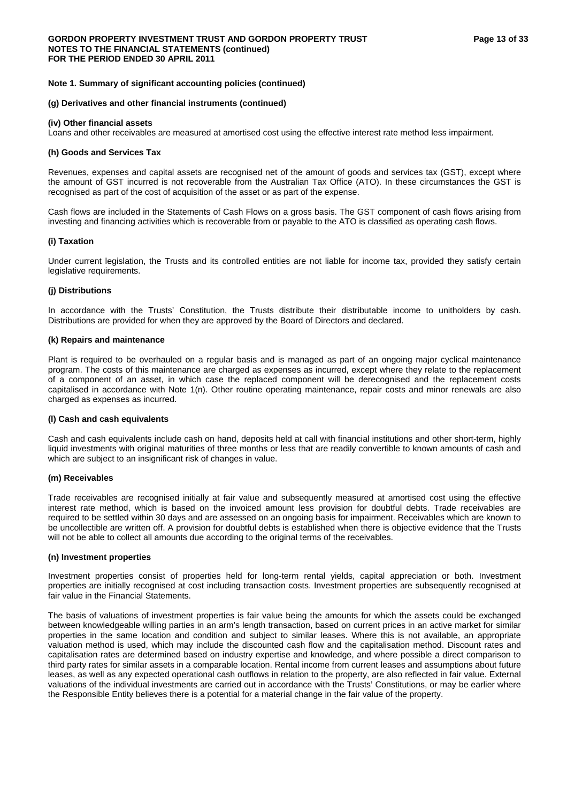## **(g) Derivatives and other financial instruments (continued)**

## **(iv) Other financial assets**

Loans and other receivables are measured at amortised cost using the effective interest rate method less impairment.

## **(h) Goods and Services Tax**

Revenues, expenses and capital assets are recognised net of the amount of goods and services tax (GST), except where the amount of GST incurred is not recoverable from the Australian Tax Office (ATO). In these circumstances the GST is recognised as part of the cost of acquisition of the asset or as part of the expense.

Cash flows are included in the Statements of Cash Flows on a gross basis. The GST component of cash flows arising from investing and financing activities which is recoverable from or payable to the ATO is classified as operating cash flows.

## **(i) Taxation**

Under current legislation, the Trusts and its controlled entities are not liable for income tax, provided they satisfy certain legislative requirements.

## **(j) Distributions**

In accordance with the Trusts' Constitution, the Trusts distribute their distributable income to unitholders by cash. Distributions are provided for when they are approved by the Board of Directors and declared.

## **(k) Repairs and maintenance**

Plant is required to be overhauled on a regular basis and is managed as part of an ongoing major cyclical maintenance program. The costs of this maintenance are charged as expenses as incurred, except where they relate to the replacement of a component of an asset, in which case the replaced component will be derecognised and the replacement costs capitalised in accordance with Note 1(n). Other routine operating maintenance, repair costs and minor renewals are also charged as expenses as incurred.

#### **(l) Cash and cash equivalents**

Cash and cash equivalents include cash on hand, deposits held at call with financial institutions and other short-term, highly liquid investments with original maturities of three months or less that are readily convertible to known amounts of cash and which are subject to an insignificant risk of changes in value.

## **(m) Receivables**

Trade receivables are recognised initially at fair value and subsequently measured at amortised cost using the effective interest rate method, which is based on the invoiced amount less provision for doubtful debts. Trade receivables are required to be settled within 30 days and are assessed on an ongoing basis for impairment. Receivables which are known to be uncollectible are written off. A provision for doubtful debts is established when there is objective evidence that the Trusts will not be able to collect all amounts due according to the original terms of the receivables.

## **(n) Investment properties**

Investment properties consist of properties held for long-term rental yields, capital appreciation or both. Investment properties are initially recognised at cost including transaction costs. Investment properties are subsequently recognised at fair value in the Financial Statements.

The basis of valuations of investment properties is fair value being the amounts for which the assets could be exchanged between knowledgeable willing parties in an arm's length transaction, based on current prices in an active market for similar properties in the same location and condition and subject to similar leases. Where this is not available, an appropriate valuation method is used, which may include the discounted cash flow and the capitalisation method. Discount rates and capitalisation rates are determined based on industry expertise and knowledge, and where possible a direct comparison to third party rates for similar assets in a comparable location. Rental income from current leases and assumptions about future leases, as well as any expected operational cash outflows in relation to the property, are also reflected in fair value. External valuations of the individual investments are carried out in accordance with the Trusts' Constitutions, or may be earlier where the Responsible Entity believes there is a potential for a material change in the fair value of the property.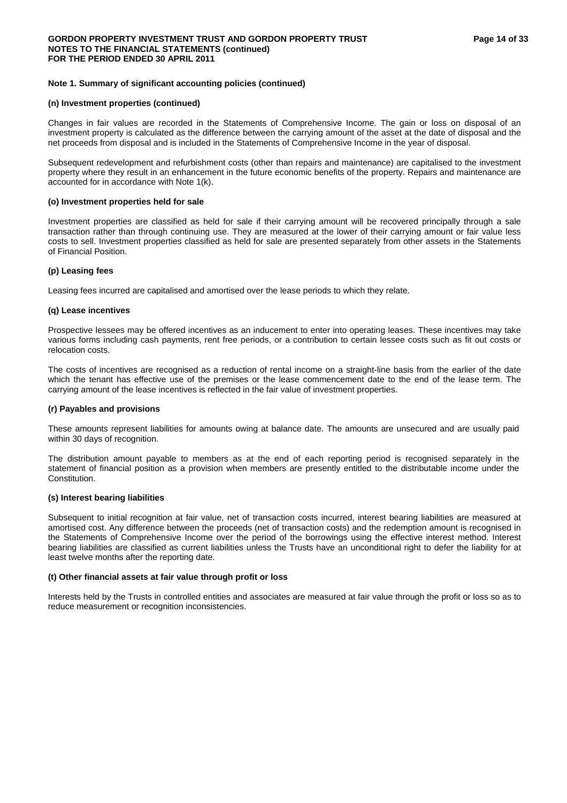#### **(n) Investment properties (continued)**

Changes in fair values are recorded in the Statements of Comprehensive Income. The gain or loss on disposal of an investment property is calculated as the difference between the carrying amount of the asset at the date of disposal and the net proceeds from disposal and is included in the Statements of Comprehensive Income in the year of disposal.

Subsequent redevelopment and refurbishment costs (other than repairs and maintenance) are capitalised to the investment property where they result in an enhancement in the future economic benefits of the property. Repairs and maintenance are accounted for in accordance with Note 1(k).

#### **(o) Investment properties held for sale**

Investment properties are classified as held for sale if their carrying amount will be recovered principally through a sale transaction rather than through continuing use. They are measured at the lower of their carrying amount or fair value less costs to sell. Investment properties classified as held for sale are presented separately from other assets in the Statements of Financial Position.

## **(p) Leasing fees**

Leasing fees incurred are capitalised and amortised over the lease periods to which they relate.

## **(q) Lease incentives**

Prospective lessees may be offered incentives as an inducement to enter into operating leases. These incentives may take various forms including cash payments, rent free periods, or a contribution to certain lessee costs such as fit out costs or relocation costs.

The costs of incentives are recognised as a reduction of rental income on a straight-line basis from the earlier of the date which the tenant has effective use of the premises or the lease commencement date to the end of the lease term. The carrying amount of the lease incentives is reflected in the fair value of investment properties.

## **(r) Payables and provisions**

These amounts represent liabilities for amounts owing at balance date. The amounts are unsecured and are usually paid within 30 days of recognition.

The distribution amount payable to members as at the end of each reporting period is recognised separately in the statement of financial position as a provision when members are presently entitled to the distributable income under the Constitution.

## **(s) Interest bearing liabilities**

Subsequent to initial recognition at fair value, net of transaction costs incurred, interest bearing liabilities are measured at amortised cost. Any difference between the proceeds (net of transaction costs) and the redemption amount is recognised in the Statements of Comprehensive Income over the period of the borrowings using the effective interest method. Interest bearing liabilities are classified as current liabilities unless the Trusts have an unconditional right to defer the liability for at least twelve months after the reporting date.

## **(t) Other financial assets at fair value through profit or loss**

Interests held by the Trusts in controlled entities and associates are measured at fair value through the profit or loss so as to reduce measurement or recognition inconsistencies.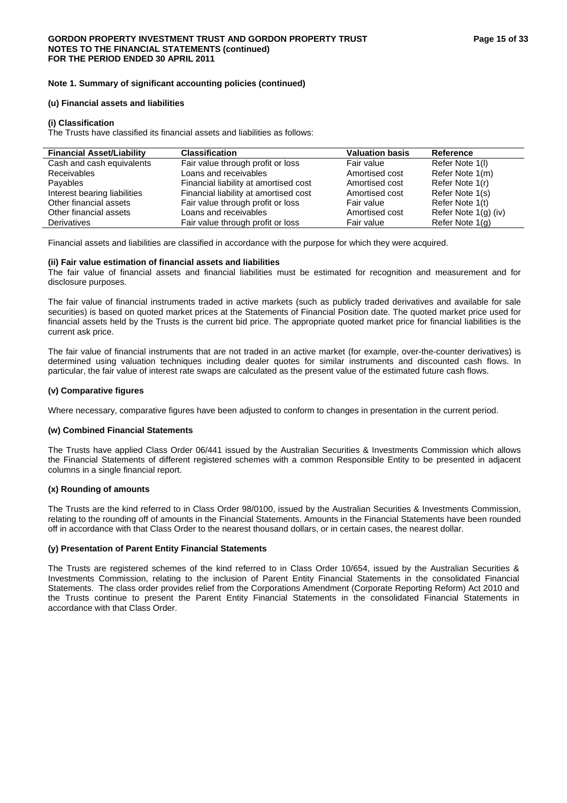## **(u) Financial assets and liabilities**

#### **(i) Classification**

The Trusts have classified its financial assets and liabilities as follows:

| <b>Financial Asset/Liability</b> | <b>Classification</b>                 | <b>Valuation basis</b> | Reference            |
|----------------------------------|---------------------------------------|------------------------|----------------------|
| Cash and cash equivalents        | Fair value through profit or loss     | Fair value             | Refer Note 1(I)      |
| <b>Receivables</b>               | Loans and receivables                 | Amortised cost         | Refer Note 1(m)      |
| Payables                         | Financial liability at amortised cost | Amortised cost         | Refer Note 1(r)      |
| Interest bearing liabilities     | Financial liability at amortised cost | Amortised cost         | Refer Note 1(s)      |
| Other financial assets           | Fair value through profit or loss     | Fair value             | Refer Note 1(t)      |
| Other financial assets           | Loans and receivables                 | Amortised cost         | Refer Note 1(g) (iv) |
| Derivatives                      | Fair value through profit or loss     | Fair value             | Refer Note 1(g)      |

Financial assets and liabilities are classified in accordance with the purpose for which they were acquired.

## **(ii) Fair value estimation of financial assets and liabilities**

The fair value of financial assets and financial liabilities must be estimated for recognition and measurement and for disclosure purposes.

The fair value of financial instruments traded in active markets (such as publicly traded derivatives and available for sale securities) is based on quoted market prices at the Statements of Financial Position date. The quoted market price used for financial assets held by the Trusts is the current bid price. The appropriate quoted market price for financial liabilities is the current ask price.

The fair value of financial instruments that are not traded in an active market (for example, over-the-counter derivatives) is determined using valuation techniques including dealer quotes for similar instruments and discounted cash flows. In particular, the fair value of interest rate swaps are calculated as the present value of the estimated future cash flows.

## **(v) Comparative figures**

Where necessary, comparative figures have been adjusted to conform to changes in presentation in the current period.

#### **(w) Combined Financial Statements**

The Trusts have applied Class Order 06/441 issued by the Australian Securities & Investments Commission which allows the Financial Statements of different registered schemes with a common Responsible Entity to be presented in adjacent columns in a single financial report.

## **(x) Rounding of amounts**

The Trusts are the kind referred to in Class Order 98/0100, issued by the Australian Securities & Investments Commission, relating to the rounding off of amounts in the Financial Statements. Amounts in the Financial Statements have been rounded off in accordance with that Class Order to the nearest thousand dollars, or in certain cases, the nearest dollar.

## **(y) Presentation of Parent Entity Financial Statements**

The Trusts are registered schemes of the kind referred to in Class Order 10/654, issued by the Australian Securities & Investments Commission, relating to the inclusion of Parent Entity Financial Statements in the consolidated Financial Statements. The class order provides relief from the Corporations Amendment (Corporate Reporting Reform) Act 2010 and the Trusts continue to present the Parent Entity Financial Statements in the consolidated Financial Statements in accordance with that Class Order.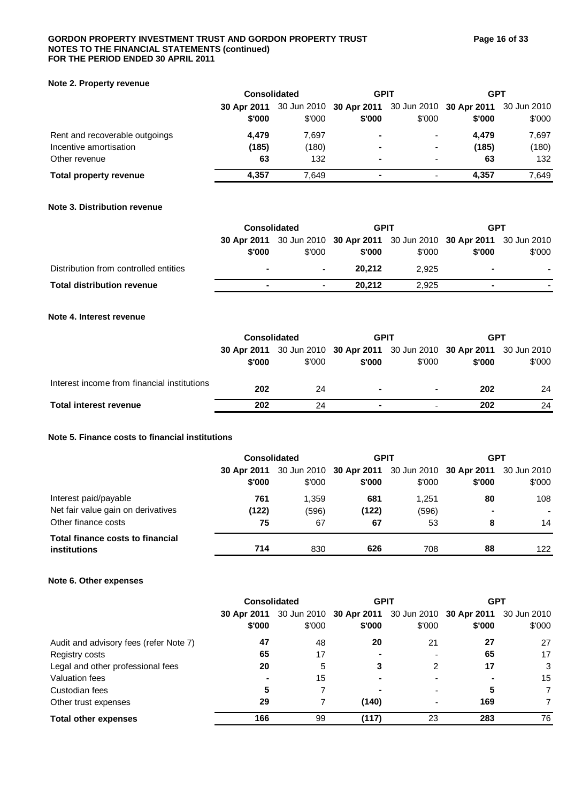## GORDON PROPERTY INVESTMENT TRUST AND GORDON PROPERTY TRUST **Figure 16 of 33 NOTES TO THE FINANCIAL STATEMENTS (continued) FOR THE PERIOD ENDED 30 APRIL 2011**

## **Note 2. Property revenue**

|                                | <b>Consolidated</b> |        | <b>GPIT</b>                                                 |                          | <b>GPT</b> |        |
|--------------------------------|---------------------|--------|-------------------------------------------------------------|--------------------------|------------|--------|
|                                | 30 Apr 2011         |        | 30 Jun 2010 30 Apr 2011 30 Jun 2010 30 Apr 2011 30 Jun 2010 |                          |            |        |
|                                | \$'000              | \$'000 | \$'000                                                      | \$'000                   | \$'000     | \$'000 |
| Rent and recoverable outgoings | 4.479               | 7.697  | -                                                           | $\blacksquare$           | 4.479      | 7,697  |
| Incentive amortisation         | (185)               | (180)  |                                                             | $\blacksquare$           | (185)      | (180)  |
| Other revenue                  | 63                  | 132    | ۰                                                           | $\overline{\phantom{0}}$ | 63         | 132    |
| Total property revenue         | 4.357               | 7.649  |                                                             | $\overline{\phantom{0}}$ | 4.357      | 7,649  |

## **Note 3. Distribution revenue**

|                                       | <b>Consolidated</b> |                          | <b>GPIT</b> |        | <b>GPT</b>                                                                        |        |
|---------------------------------------|---------------------|--------------------------|-------------|--------|-----------------------------------------------------------------------------------|--------|
|                                       | \$'000              | \$'000                   | \$'000      | \$'000 | 30 Apr 2011 30 Jun 2010 30 Apr 2011 30 Jun 2010 30 Apr 2011 30 Jun 2010<br>\$'000 | \$'000 |
| Distribution from controlled entities | $\blacksquare$      | $\overline{\phantom{0}}$ | 20.212      | 2.925  | ۰.                                                                                |        |
| <b>Total distribution revenue</b>     | ۰                   | $\overline{\phantom{0}}$ | 20.212      | 2.925  |                                                                                   |        |

## **Note 4. Interest revenue**

|                                             | <b>Consolidated</b> |        | <b>GPIT</b> |                          | GPT                                                                     |        |
|---------------------------------------------|---------------------|--------|-------------|--------------------------|-------------------------------------------------------------------------|--------|
|                                             |                     |        |             |                          | 30 Apr 2011 30 Jun 2010 30 Apr 2011 30 Jun 2010 30 Apr 2011 30 Jun 2010 |        |
|                                             | \$'000              | \$'000 | \$'000      | \$'000                   | \$'000                                                                  | \$'000 |
| Interest income from financial institutions |                     |        |             |                          |                                                                         |        |
|                                             | 202                 | 24     |             | $\overline{\phantom{0}}$ | 202                                                                     | 24     |
| <b>Total interest revenue</b>               | 202                 | 24     |             | $\overline{\phantom{0}}$ | 202                                                                     | 24     |

## **Note 5. Finance costs to financial institutions**

|                                                  | <b>Consolidated</b>   |        | <b>GPIT</b>                                                           |        | <b>GPT</b> |                          |
|--------------------------------------------------|-----------------------|--------|-----------------------------------------------------------------------|--------|------------|--------------------------|
|                                                  | 30 Apr 2011<br>\$'000 | \$'000 | 30 Jun 2010 30 Apr 2011 30 Jun 2010 30 Apr 2011 30 Jun 2010<br>\$'000 | \$'000 | \$'000     | \$'000                   |
|                                                  |                       |        |                                                                       |        |            |                          |
| Interest paid/payable                            | 761                   | 1.359  | 681                                                                   | 1.251  | 80         | 108                      |
| Net fair value gain on derivatives               | (122)                 | (596)  | (122)                                                                 | (596)  | -          | $\overline{\phantom{0}}$ |
| Other finance costs                              | 75                    | 67     | 67                                                                    | 53     | 8          | 14                       |
| Total finance costs to financial<br>institutions | 714                   | 830    | 626                                                                   | 708    | 88         | 122                      |

## **Note 6. Other expenses**

|                                        | <b>Consolidated</b> |        | <b>GPIT</b>                                                 |                          | <b>GPT</b> |                |
|----------------------------------------|---------------------|--------|-------------------------------------------------------------|--------------------------|------------|----------------|
|                                        | 30 Apr 2011         |        | 30 Jun 2010 30 Apr 2011 30 Jun 2010 30 Apr 2011 30 Jun 2010 |                          |            |                |
|                                        | \$'000              | \$'000 | \$'000                                                      | \$'000                   | \$'000     | \$'000         |
| Audit and advisory fees (refer Note 7) | 47                  | 48     | 20                                                          | 21                       | 27         | 27             |
| Registry costs                         | 65                  | 17     |                                                             | $\overline{\phantom{0}}$ | 65         | 17             |
| Legal and other professional fees      | 20                  | 5      | 3                                                           | 2                        | 17         | 3              |
| Valuation fees                         | ۰                   | 15     |                                                             | -                        |            | 15             |
| Custodian fees                         | 5                   | 7      |                                                             | -                        | 5          | 7              |
| Other trust expenses                   | 29                  |        | (140)                                                       | -                        | 169        | $\overline{7}$ |
| <b>Total other expenses</b>            | 166                 | 99     | (117)                                                       | 23                       | 283        | 76             |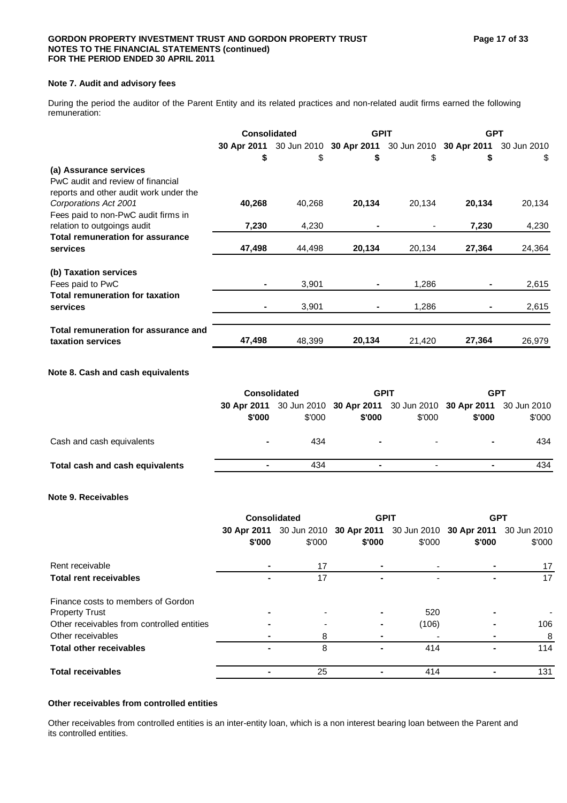## **Note 7. Audit and advisory fees**

During the period the auditor of the Parent Entity and its related practices and non-related audit firms earned the following remuneration:

|                                         | <b>Consolidated</b> |        | <b>GPIT</b>                                                 |        | <b>GPT</b> |             |
|-----------------------------------------|---------------------|--------|-------------------------------------------------------------|--------|------------|-------------|
|                                         |                     |        | 30 Apr 2011 30 Jun 2010 30 Apr 2011 30 Jun 2010 30 Apr 2011 |        |            | 30 Jun 2010 |
|                                         | \$                  | \$     | \$                                                          | \$     | \$         | S.          |
| (a) Assurance services                  |                     |        |                                                             |        |            |             |
| PwC audit and review of financial       |                     |        |                                                             |        |            |             |
| reports and other audit work under the  |                     |        |                                                             |        |            |             |
| Corporations Act 2001                   | 40,268              | 40.268 | 20,134                                                      | 20,134 | 20,134     | 20,134      |
| Fees paid to non-PwC audit firms in     |                     |        |                                                             |        |            |             |
| relation to outgoings audit             | 7,230               | 4,230  |                                                             |        | 7,230      | 4,230       |
| <b>Total remuneration for assurance</b> |                     |        |                                                             |        |            |             |
| services                                | 47,498              | 44,498 | 20,134                                                      | 20,134 | 27,364     | 24,364      |
| (b) Taxation services                   |                     |        |                                                             |        |            |             |
| Fees paid to PwC                        |                     | 3,901  |                                                             | 1,286  |            | 2,615       |
| Total remuneration for taxation         |                     |        |                                                             |        |            |             |
| services                                |                     | 3,901  |                                                             | 1,286  |            | 2,615       |
| Total remuneration for assurance and    |                     |        |                                                             |        |            |             |
| taxation services                       | 47,498              | 48,399 | 20,134                                                      | 21,420 | 27,364     | 26,979      |

## **Note 8. Cash and cash equivalents**

|                                 | <b>Consolidated</b> |        | <b>GPIT</b> |                          | <b>GPT</b>                                                                        |        |
|---------------------------------|---------------------|--------|-------------|--------------------------|-----------------------------------------------------------------------------------|--------|
|                                 | \$'000              | \$'000 | \$'000      | \$'000                   | 30 Apr 2011 30 Jun 2010 30 Apr 2011 30 Jun 2010 30 Apr 2011 30 Jun 2010<br>\$'000 | \$'000 |
| Cash and cash equivalents       | ۰                   | 434    |             | $\overline{\phantom{0}}$ |                                                                                   | 434    |
| Total cash and cash equivalents | ۰                   | 434    |             | $\overline{\phantom{a}}$ |                                                                                   | 434    |
|                                 |                     |        |             |                          |                                                                                   |        |

## **Note 9. Receivables**

|                                            | Consolidated |        | <b>GPIT</b> |        | <b>GPT</b>                                                  |        |
|--------------------------------------------|--------------|--------|-------------|--------|-------------------------------------------------------------|--------|
|                                            | 30 Apr 2011  |        |             |        | 30 Jun 2010 30 Apr 2011 30 Jun 2010 30 Apr 2011 30 Jun 2010 |        |
|                                            | \$'000       | \$'000 | \$'000      | \$'000 | \$'000                                                      | \$'000 |
| Rent receivable                            |              | 17     | ۰           |        |                                                             | 17     |
| <b>Total rent receivables</b>              |              | 17     |             |        |                                                             | 17     |
| Finance costs to members of Gordon         |              |        |             |        |                                                             |        |
| <b>Property Trust</b>                      |              |        |             | 520    |                                                             |        |
| Other receivables from controlled entities |              |        |             | (106)  |                                                             | 106    |
| Other receivables                          |              | 8      |             |        |                                                             | 8      |
| <b>Total other receivables</b>             |              | 8      |             | 414    |                                                             | 114    |
| <b>Total receivables</b>                   |              | 25     |             | 414    |                                                             | 131    |

## **Other receivables from controlled entities**

Other receivables from controlled entities is an inter-entity loan, which is a non interest bearing loan between the Parent and its controlled entities.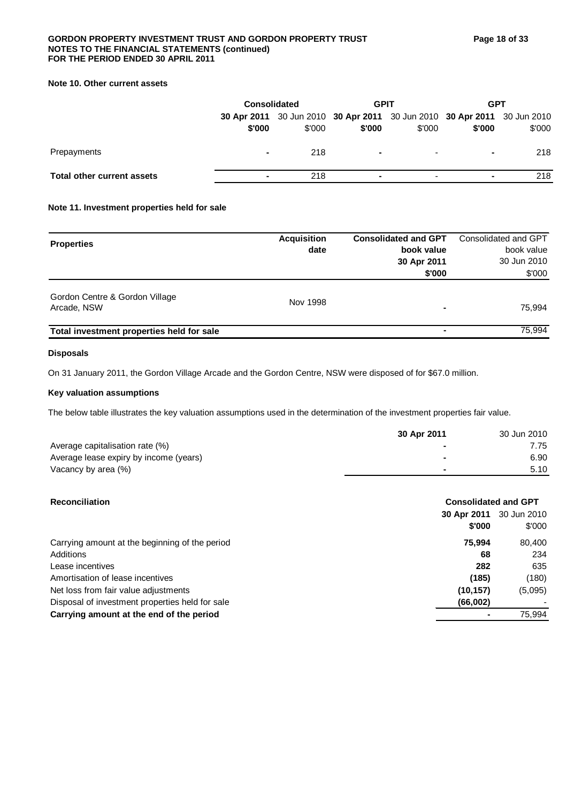## GORDON PROPERTY INVESTMENT TRUST AND GORDON PROPERTY TRUST **Figure 18 of 33 NOTES TO THE FINANCIAL STATEMENTS (continued) FOR THE PERIOD ENDED 30 APRIL 2011**

## **Note 10. Other current assets**

|                            | <b>Consolidated</b>      |                                                                                   | <b>GPIT</b>              |                          | <b>GPT</b> |        |
|----------------------------|--------------------------|-----------------------------------------------------------------------------------|--------------------------|--------------------------|------------|--------|
|                            | \$'000                   | 30 Apr 2011 30 Jun 2010 30 Apr 2011 30 Jun 2010 30 Apr 2011 30 Jun 2010<br>\$'000 | \$'000                   | \$'000                   | \$'000     | \$'000 |
| Prepayments                | ۰                        | 218                                                                               |                          | $\overline{\phantom{a}}$ | ۰          | 218    |
| Total other current assets | $\overline{\phantom{a}}$ | 218                                                                               | $\overline{\phantom{a}}$ | $\overline{\phantom{a}}$ |            | 218    |

## **Note 11. Investment properties held for sale**

| <b>Properties</b>                             | <b>Acquisition</b><br>date | <b>Consolidated and GPT</b><br>book value<br>30 Apr 2011 | Consolidated and GPT<br>book value<br>30 Jun 2010 |
|-----------------------------------------------|----------------------------|----------------------------------------------------------|---------------------------------------------------|
|                                               |                            | \$'000                                                   | \$'000                                            |
| Gordon Centre & Gordon Village<br>Arcade, NSW | Nov 1998                   | -                                                        | 75.994                                            |
| Total investment properties held for sale     |                            |                                                          | 75.994                                            |

## **Disposals**

On 31 January 2011, the Gordon Village Arcade and the Gordon Centre, NSW were disposed of for \$67.0 million.

## **Key valuation assumptions**

The below table illustrates the key valuation assumptions used in the determination of the investment properties fair value.

|                                        | 30 Apr 2011 | 30 Jun 2010 |
|----------------------------------------|-------------|-------------|
| Average capitalisation rate (%)        |             | 7.75        |
| Average lease expiry by income (years) | -           | 6.90        |
| Vacancy by area (%)                    |             | 5.10        |
|                                        |             |             |

| <b>Reconciliation</b>                           | <b>Consolidated and GPT</b> |                       |  |
|-------------------------------------------------|-----------------------------|-----------------------|--|
|                                                 | 30 Apr 2011<br>\$'000       | 30 Jun 2010<br>\$'000 |  |
| Carrying amount at the beginning of the period  | 75.994                      | 80,400                |  |
| Additions                                       | 68                          | 234                   |  |
| Lease incentives                                | 282                         | 635                   |  |
| Amortisation of lease incentives                | (185)                       | (180)                 |  |
| Net loss from fair value adjustments            | (10, 157)                   | (5,095)               |  |
| Disposal of investment properties held for sale | (66,002)                    |                       |  |
| Carrying amount at the end of the period        |                             | 75,994                |  |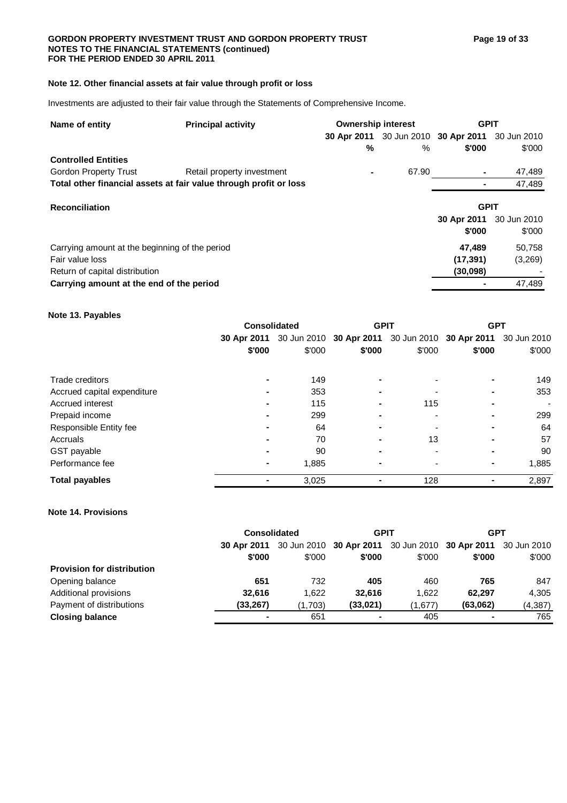## GORDON PROPERTY INVESTMENT TRUST AND GORDON PROPERTY TRUST **Figure 19 of 33 NOTES TO THE FINANCIAL STATEMENTS (continued) FOR THE PERIOD ENDED 30 APRIL 2011**

## **Note 12. Other financial assets at fair value through profit or loss**

Investments are adjusted to their fair value through the Statements of Comprehensive Income.

| Name of entity                                                    | <b>Principal activity</b>  |   | <b>Ownership interest</b> |                                                 | <b>GPIT</b> |  |
|-------------------------------------------------------------------|----------------------------|---|---------------------------|-------------------------------------------------|-------------|--|
|                                                                   |                            |   |                           | 30 Apr 2011 30 Jun 2010 30 Apr 2011 30 Jun 2010 |             |  |
|                                                                   |                            | % | %                         | \$'000                                          | \$'000      |  |
| <b>Controlled Entities</b>                                        |                            |   |                           |                                                 |             |  |
| Gordon Property Trust                                             | Retail property investment |   | 67.90                     |                                                 | 47,489      |  |
| Total other financial assets at fair value through profit or loss |                            |   |                           |                                                 | 47,489      |  |
| <b>Reconciliation</b>                                             |                            |   |                           | <b>GPIT</b>                                     |             |  |
|                                                                   |                            |   |                           | 30 Apr 2011                                     | 30 Jun 2010 |  |
|                                                                   |                            |   |                           | \$'000                                          | \$'000      |  |
| Carrying amount at the beginning of the period                    |                            |   |                           | 47.489                                          | 50,758      |  |
| Fair value loss                                                   |                            |   |                           | (17, 391)                                       | (3,269)     |  |
| Return of capital distribution                                    |                            |   |                           | (30,098)                                        |             |  |
| Carrying amount at the end of the period                          |                            |   |                           |                                                 | 47,489      |  |

## **Note 13. Payables**

|                             | <b>Consolidated</b> |                                                                         | <b>GPIT</b> |        | <b>GPT</b> |                |
|-----------------------------|---------------------|-------------------------------------------------------------------------|-------------|--------|------------|----------------|
|                             |                     | 30 Apr 2011 30 Jun 2010 30 Apr 2011 30 Jun 2010 30 Apr 2011 30 Jun 2010 |             |        |            |                |
|                             | \$'000              | \$'000                                                                  | \$'000      | \$'000 | \$'000     | \$'000         |
| Trade creditors             | ۰                   | 149                                                                     | -           |        |            | 149            |
| Accrued capital expenditure | ۰                   | 353                                                                     |             |        |            | 353            |
| Accrued interest            | ۰                   | 115                                                                     | -           | 115    |            | $\blacksquare$ |
| Prepaid income              | ۰                   | 299                                                                     | -           |        |            | 299            |
| Responsible Entity fee      |                     | 64                                                                      |             |        |            | 64             |
| Accruals                    |                     | 70                                                                      |             | 13     |            | 57             |
| GST payable                 | ۰                   | 90                                                                      |             |        |            | 90             |
| Performance fee             | $\blacksquare$      | 1,885                                                                   |             |        |            | 1,885          |
| <b>Total payables</b>       | ۰                   | 3,025                                                                   | ۰           | 128    | ۰          | 2,897          |

## **Note 14. Provisions**

|                                   | <b>Consolidated</b> |         | <b>GPIT</b>                                                 |         | <b>GPT</b> |          |
|-----------------------------------|---------------------|---------|-------------------------------------------------------------|---------|------------|----------|
|                                   | 30 Apr 2011         |         | 30 Jun 2010 30 Apr 2011 30 Jun 2010 30 Apr 2011 30 Jun 2010 |         |            |          |
|                                   | \$'000              | \$'000  | \$'000                                                      | \$'000  | \$'000     | \$'000   |
| <b>Provision for distribution</b> |                     |         |                                                             |         |            |          |
| Opening balance                   | 651                 | 732     | 405                                                         | 460     | 765        | 847      |
| Additional provisions             | 32,616              | 1.622   | 32.616                                                      | 1.622   | 62.297     | 4.305    |
| Payment of distributions          | (33, 267)           | (1,703) | (33,021)                                                    | (1,677) | (63,062)   | (4, 387) |
| <b>Closing balance</b>            | ۰                   | 651     |                                                             | 405     |            | 765      |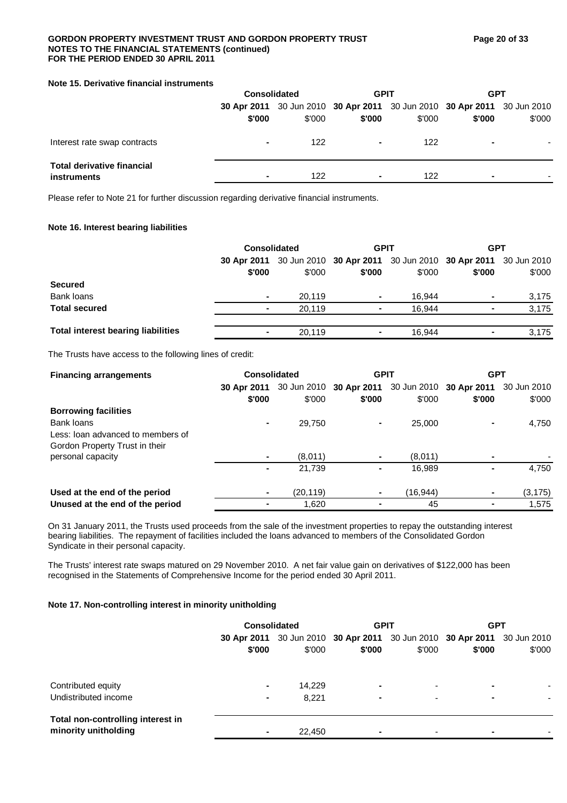## GORDON PROPERTY INVESTMENT TRUST AND GORDON PROPERTY TRUST **Figure 20 of 33 NOTES TO THE FINANCIAL STATEMENTS (continued) FOR THE PERIOD ENDED 30 APRIL 2011**

## **Note 15. Derivative financial instruments**

|                                                  | <b>Consolidated</b> |                                                                                   | <b>GPIT</b> |        | <b>GPT</b> |        |
|--------------------------------------------------|---------------------|-----------------------------------------------------------------------------------|-------------|--------|------------|--------|
|                                                  | \$'000              | 30 Apr 2011 30 Jun 2010 30 Apr 2011 30 Jun 2010 30 Apr 2011 30 Jun 2010<br>\$'000 | \$'000      | \$'000 | \$'000     | \$'000 |
| Interest rate swap contracts                     | $\blacksquare$      | 122                                                                               | ۰           | 122    |            |        |
| <b>Total derivative financial</b><br>instruments | $\blacksquare$      | 122                                                                               | ۰           | 122    |            |        |

Please refer to Note 21 for further discussion regarding derivative financial instruments.

## **Note 16. Interest bearing liabilities**

|                                           | <b>Consolidated</b> |                                                                         | <b>GPIT</b>    |        | <b>GPT</b>     |        |
|-------------------------------------------|---------------------|-------------------------------------------------------------------------|----------------|--------|----------------|--------|
|                                           |                     | 30 Apr 2011 30 Jun 2010 30 Apr 2011 30 Jun 2010 30 Apr 2011 30 Jun 2010 |                |        |                |        |
|                                           | \$'000              | \$'000                                                                  | \$'000         | \$'000 | \$'000         | \$'000 |
| <b>Secured</b>                            |                     |                                                                         |                |        |                |        |
| Bank loans                                | ٠                   | 20.119                                                                  | $\blacksquare$ | 16.944 | $\blacksquare$ | 3,175  |
| <b>Total secured</b>                      | $\blacksquare$      | 20.119                                                                  |                | 16.944 |                | 3,175  |
| <b>Total interest bearing liabilities</b> | ٠                   | 20.119                                                                  |                | 16.944 |                | 3,175  |

The Trusts have access to the following lines of credit:

| <b>Financing arrangements</b>     |                       | <b>Consolidated</b> |                                                                       | <b>GPIT</b> | <b>GPT</b> |          |
|-----------------------------------|-----------------------|---------------------|-----------------------------------------------------------------------|-------------|------------|----------|
|                                   | 30 Apr 2011<br>\$'000 | \$'000              | 30 Jun 2010 30 Apr 2011 30 Jun 2010 30 Apr 2011 30 Jun 2010<br>\$'000 | \$'000      | \$'000     | \$'000   |
| <b>Borrowing facilities</b>       |                       |                     |                                                                       |             |            |          |
| Bank loans                        | ۰                     | 29.750              |                                                                       | 25,000      |            | 4,750    |
| Less: loan advanced to members of |                       |                     |                                                                       |             |            |          |
| Gordon Property Trust in their    |                       |                     |                                                                       |             |            |          |
| personal capacity                 |                       | (8,011)             |                                                                       | (8,011)     |            |          |
|                                   | ۰                     | 21.739              |                                                                       | 16,989      |            | 4,750    |
| Used at the end of the period     | ٠                     | (20, 119)           |                                                                       | (16,944)    |            | (3, 175) |
| Unused at the end of the period   |                       | 1,620               |                                                                       | 45          |            | 1.575    |

On 31 January 2011, the Trusts used proceeds from the sale of the investment properties to repay the outstanding interest bearing liabilities. The repayment of facilities included the loans advanced to members of the Consolidated Gordon Syndicate in their personal capacity.

The Trusts' interest rate swaps matured on 29 November 2010. A net fair value gain on derivatives of \$122,000 has been recognised in the Statements of Comprehensive Income for the period ended 30 April 2011.

## **Note 17. Non-controlling interest in minority unitholding**

|                                                           | <b>Consolidated</b> |        | <b>GPIT</b>                                                             |                          | <b>GPT</b> |        |
|-----------------------------------------------------------|---------------------|--------|-------------------------------------------------------------------------|--------------------------|------------|--------|
|                                                           |                     |        | 30 Apr 2011 30 Jun 2010 30 Apr 2011 30 Jun 2010 30 Apr 2011 30 Jun 2010 |                          |            |        |
|                                                           | \$'000              | \$'000 | \$'000                                                                  | \$'000                   | \$'000     | \$'000 |
|                                                           |                     |        |                                                                         |                          |            |        |
| Contributed equity                                        | $\blacksquare$      | 14.229 | $\overline{\phantom{0}}$                                                | $\blacksquare$           | -          |        |
| Undistributed income                                      | ٠                   | 8.221  | $\overline{\phantom{0}}$                                                | $\blacksquare$           |            | ٠      |
| Total non-controlling interest in<br>minority unitholding |                     |        |                                                                         |                          |            |        |
|                                                           | ٠                   | 22,450 | ۰                                                                       | $\overline{\phantom{0}}$ |            |        |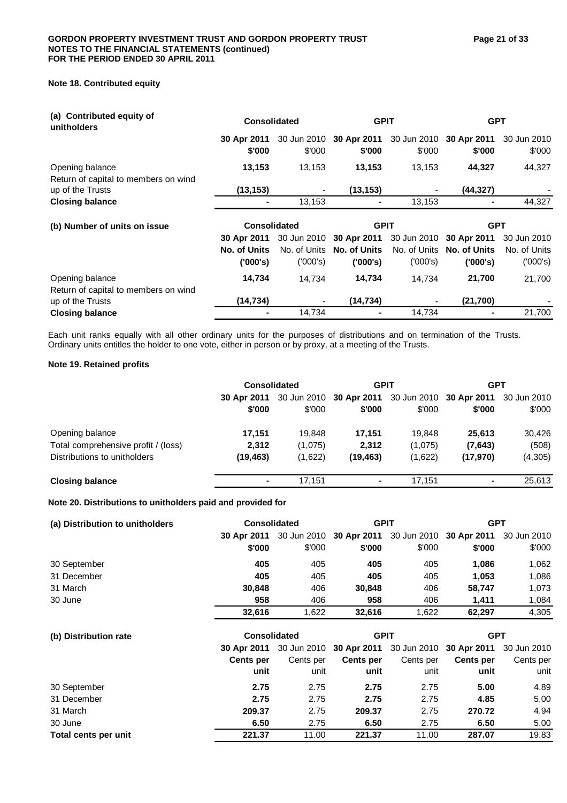## **Note 18. Contributed equity**

| (a) Contributed equity of<br>unitholders                | <b>Consolidated</b>   |                       | <b>GPIT</b>               |                       | <b>GPT</b>                |                       |
|---------------------------------------------------------|-----------------------|-----------------------|---------------------------|-----------------------|---------------------------|-----------------------|
|                                                         | 30 Apr 2011<br>\$'000 | 30 Jun 2010<br>\$'000 | 30 Apr 2011<br>\$'000     | 30 Jun 2010<br>\$'000 | 30 Apr 2011<br>\$'000     | 30 Jun 2010<br>\$'000 |
| Opening balance<br>Return of capital to members on wind | 13,153                | 13,153                | 13,153                    | 13,153                | 44,327                    | 44,327                |
| up of the Trusts                                        | (13, 153)             |                       | (13, 153)                 |                       | (44,327)                  |                       |
| <b>Closing balance</b>                                  |                       | 13,153                |                           | 13,153                |                           | 44,327                |
|                                                         | <b>Consolidated</b>   |                       |                           |                       |                           |                       |
| (b) Number of units on issue                            |                       |                       | <b>GPIT</b>               |                       | <b>GPT</b>                |                       |
|                                                         | 30 Apr 2011           | 30 Jun 2010           | 30 Apr 2011               | 30 Jun 2010           | 30 Apr 2011               | 30 Jun 2010           |
|                                                         | No. of Units          |                       | No. of Units No. of Units |                       | No. of Units No. of Units | No. of Units          |
|                                                         | (000's)               | (000's)               | (000's)                   | (′000′s)              | (000's)                   | (′000′s)              |
| Opening balance                                         | 14,734                | 14,734                | 14,734                    | 14,734                | 21,700                    | 21,700                |
| Return of capital to members on wind                    |                       |                       |                           |                       |                           |                       |
| up of the Trusts                                        | (14, 734)             |                       | (14, 734)                 |                       | (21,700)                  |                       |

Each unit ranks equally with all other ordinary units for the purposes of distributions and on termination of the Trusts. Ordinary units entitles the holder to one vote, either in person or by proxy, at a meeting of the Trusts.

## **Note 19. Retained profits**

|                                     | <b>Consolidated</b> |         | <b>GPIT</b> |                                                             | <b>GPT</b> |         |
|-------------------------------------|---------------------|---------|-------------|-------------------------------------------------------------|------------|---------|
|                                     | 30 Apr 2011         |         |             | 30 Jun 2010 30 Apr 2011 30 Jun 2010 30 Apr 2011 30 Jun 2010 |            |         |
|                                     | \$'000              | \$'000  | \$'000      | \$'000                                                      | \$'000     | \$'000  |
| Opening balance                     | 17,151              | 19.848  | 17.151      | 19.848                                                      | 25,613     | 30,426  |
| Total comprehensive profit / (loss) | 2,312               | (1,075) | 2.312       | (1,075)                                                     | (7,643)    | (508)   |
| Distributions to unitholders        | (19, 463)           | (1,622) | (19, 463)   | (1,622)                                                     | (17,970)   | (4,305) |
| <b>Closing balance</b>              | ۰                   | 17.151  | ۰           | 17.151                                                      | ۰          | 25.613  |

## **Note 20. Distributions to unitholders paid and provided for**

| (a) Distribution to unitholders | <b>Consolidated</b> |           | <b>GPIT</b>                                     |           | <b>GPT</b>              |             |  |
|---------------------------------|---------------------|-----------|-------------------------------------------------|-----------|-------------------------|-------------|--|
|                                 | 30 Apr 2011         |           | 30 Jun 2010 30 Apr 2011 30 Jun 2010 30 Apr 2011 |           |                         | 30 Jun 2010 |  |
|                                 | \$'000              | \$'000    | \$'000                                          | \$'000    | \$'000                  | \$'000      |  |
| 30 September                    | 405                 | 405       | 405                                             | 405       | 1,086                   | 1,062       |  |
| 31 December                     | 405                 | 405       | 405                                             | 405       | 1,053                   | 1,086       |  |
| 31 March                        | 30,848              | 406       | 30,848                                          | 406       | 58,747                  | 1,073       |  |
| 30 June                         | 958                 | 406       | 958                                             | 406       | 1,411                   | 1,084       |  |
|                                 | 32,616              | 1,622     | 32,616                                          | 1,622     | 62,297                  | 4,305       |  |
| (b) Distribution rate           | <b>Consolidated</b> |           | <b>GPIT</b>                                     |           | <b>GPT</b>              |             |  |
|                                 | 30 Apr 2011         |           | 30 Jun 2010 30 Apr 2011                         |           | 30 Jun 2010 30 Apr 2011 | 30 Jun 2010 |  |
|                                 | <b>Cents per</b>    | Cents per | Cents per                                       | Cents per | <b>Cents per</b>        | Cents per   |  |
|                                 | unit                | unit      | unit                                            | unit      | unit                    | unit        |  |
| 30 September                    | 2.75                | 2.75      | 2.75                                            | 2.75      | 5.00                    | 4.89        |  |
| 31 December                     | 2.75                | 2.75      | 2.75                                            | 2.75      | 4.85                    | 5.00        |  |
| 31 March                        | 209.37              | 2.75      | 209.37                                          | 2.75      | 270.72                  | 4.94        |  |
| 30 June                         | 6.50                | 2.75      | 6.50                                            | 2.75      | 6.50                    | 5.00        |  |
| Total cents per unit            | 221.37              | 11.00     | 221.37                                          | 11.00     | 287.07                  | 19.83       |  |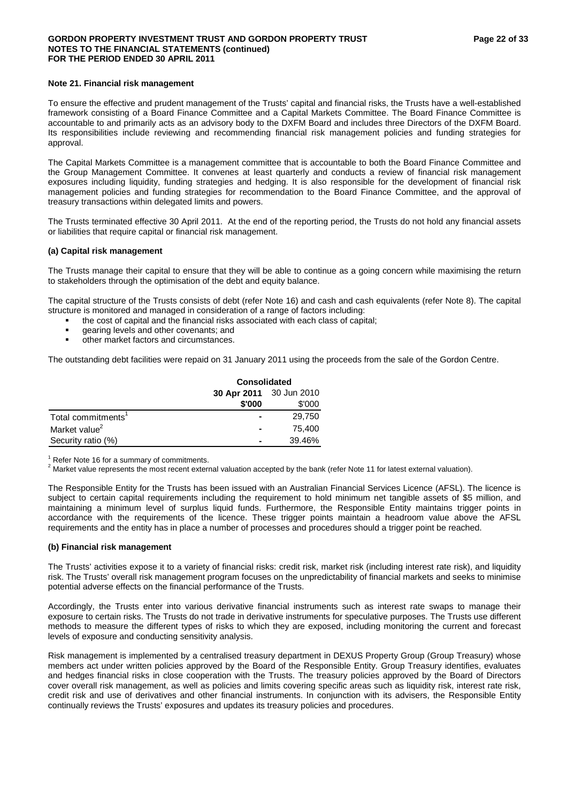## GORDON PROPERTY INVESTMENT TRUST AND GORDON PROPERTY TRUST **FRUST Page 22 of 33 NOTES TO THE FINANCIAL STATEMENTS (continued) FOR THE PERIOD ENDED 30 APRIL 2011**

## **Note 21. Financial risk management**

To ensure the effective and prudent management of the Trusts' capital and financial risks, the Trusts have a well-established framework consisting of a Board Finance Committee and a Capital Markets Committee. The Board Finance Committee is accountable to and primarily acts as an advisory body to the DXFM Board and includes three Directors of the DXFM Board. Its responsibilities include reviewing and recommending financial risk management policies and funding strategies for approval.

The Capital Markets Committee is a management committee that is accountable to both the Board Finance Committee and the Group Management Committee. It convenes at least quarterly and conducts a review of financial risk management exposures including liquidity, funding strategies and hedging. It is also responsible for the development of financial risk management policies and funding strategies for recommendation to the Board Finance Committee, and the approval of treasury transactions within delegated limits and powers.

The Trusts terminated effective 30 April 2011. At the end of the reporting period, the Trusts do not hold any financial assets or liabilities that require capital or financial risk management.

## **(a) Capital risk management**

The Trusts manage their capital to ensure that they will be able to continue as a going concern while maximising the return to stakeholders through the optimisation of the debt and equity balance.

The capital structure of the Trusts consists of debt (refer Note 16) and cash and cash equivalents (refer Note 8). The capital structure is monitored and managed in consideration of a range of factors including:

- the cost of capital and the financial risks associated with each class of capital;
- gearing levels and other covenants; and
- other market factors and circumstances.

The outstanding debt facilities were repaid on 31 January 2011 using the proceeds from the sale of the Gordon Centre.

|                                | <b>Consolidated</b>     |        |  |  |  |
|--------------------------------|-------------------------|--------|--|--|--|
|                                | 30 Apr 2011 30 Jun 2010 |        |  |  |  |
|                                | \$'000                  | \$'000 |  |  |  |
| Total commitments <sup>1</sup> |                         | 29,750 |  |  |  |
| Market value <sup>2</sup>      | $\blacksquare$          | 75.400 |  |  |  |
| Security ratio (%)             |                         | 39.46% |  |  |  |

 $1$  Refer Note 16 for a summary of commitments.

<sup>2</sup> Market value represents the most recent external valuation accepted by the bank (refer Note 11 for latest external valuation).

The Responsible Entity for the Trusts has been issued with an Australian Financial Services Licence (AFSL). The licence is subject to certain capital requirements including the requirement to hold minimum net tangible assets of \$5 million, and maintaining a minimum level of surplus liquid funds. Furthermore, the Responsible Entity maintains trigger points in accordance with the requirements of the licence. These trigger points maintain a headroom value above the AFSL requirements and the entity has in place a number of processes and procedures should a trigger point be reached.

## **(b) Financial risk management**

The Trusts' activities expose it to a variety of financial risks: credit risk, market risk (including interest rate risk), and liquidity risk. The Trusts' overall risk management program focuses on the unpredictability of financial markets and seeks to minimise potential adverse effects on the financial performance of the Trusts.

Accordingly, the Trusts enter into various derivative financial instruments such as interest rate swaps to manage their exposure to certain risks. The Trusts do not trade in derivative instruments for speculative purposes. The Trusts use different methods to measure the different types of risks to which they are exposed, including monitoring the current and forecast levels of exposure and conducting sensitivity analysis.

Risk management is implemented by a centralised treasury department in DEXUS Property Group (Group Treasury) whose members act under written policies approved by the Board of the Responsible Entity. Group Treasury identifies, evaluates and hedges financial risks in close cooperation with the Trusts. The treasury policies approved by the Board of Directors cover overall risk management, as well as policies and limits covering specific areas such as liquidity risk, interest rate risk, credit risk and use of derivatives and other financial instruments. In conjunction with its advisers, the Responsible Entity continually reviews the Trusts' exposures and updates its treasury policies and procedures.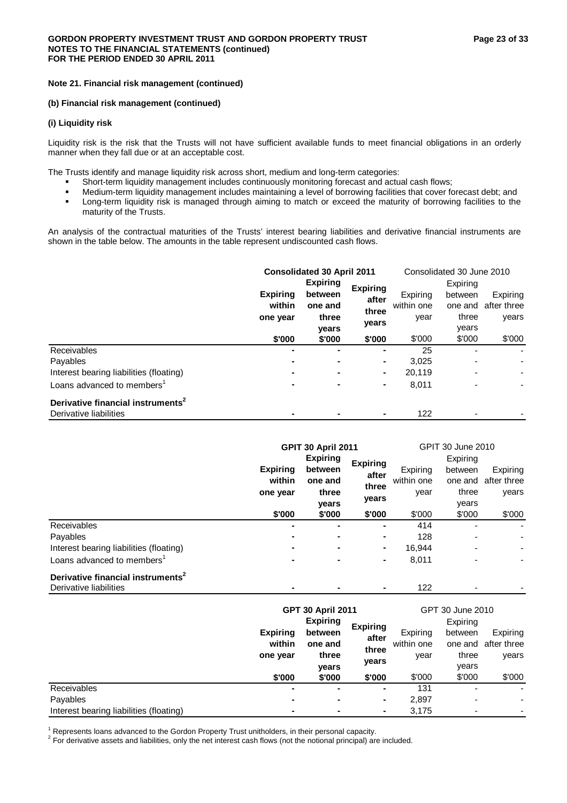## **(b) Financial risk management (continued)**

## **(i) Liquidity risk**

Liquidity risk is the risk that the Trusts will not have sufficient available funds to meet financial obligations in an orderly manner when they fall due or at an acceptable cost.

The Trusts identify and manage liquidity risk across short, medium and long-term categories:

- Short-term liquidity management includes continuously monitoring forecast and actual cash flows;
- Medium-term liquidity management includes maintaining a level of borrowing facilities that cover forecast debt; and
- **EXECT** Long-term liquidity risk is managed through aiming to match or exceed the maturity of borrowing facilities to the maturity of the Trusts.

An analysis of the contractual maturities of the Trusts' interest bearing liabilities and derivative financial instruments are shown in the table below. The amounts in the table represent undiscounted cash flows.

|                                               | <b>Consolidated 30 April 2011</b> |                 |                 | Consolidated 30 June 2010 |         |                     |
|-----------------------------------------------|-----------------------------------|-----------------|-----------------|---------------------------|---------|---------------------|
|                                               |                                   | <b>Expiring</b> | <b>Expiring</b> | Expiring                  |         |                     |
|                                               | <b>Expiring</b>                   | between         | after           | Expiring                  | between | Expiring            |
|                                               | within                            | one and         | three           | within one                |         | one and after three |
|                                               | one year                          | three           |                 | year                      | three   | years               |
|                                               |                                   | years<br>vears  |                 |                           | years   |                     |
|                                               | \$'000                            | \$'000          | \$'000          | \$'000                    | \$'000  | \$'000              |
| Receivables                                   | $\blacksquare$                    | ۰               |                 | 25                        |         |                     |
| Payables                                      |                                   |                 | ۰               | 3.025                     |         |                     |
| Interest bearing liabilities (floating)       |                                   | $\blacksquare$  | ٠               | 20.119                    |         |                     |
| Loans advanced to members <sup>1</sup>        | ۰.                                | $\blacksquare$  | $\blacksquare$  | 8,011                     |         |                     |
| Derivative financial instruments <sup>2</sup> |                                   |                 |                 |                           |         |                     |
| Derivative liabilities                        | -                                 |                 |                 | 122                       |         |                     |

|                                               | <b>GPIT 30 April 2011</b> |                 |                 | GPIT 30 June 2010 |         |             |
|-----------------------------------------------|---------------------------|-----------------|-----------------|-------------------|---------|-------------|
|                                               |                           | <b>Expiring</b> | <b>Expiring</b> | Expiring          |         |             |
|                                               | <b>Expiring</b>           | between         | after           | Expiring          | between | Expiring    |
|                                               | within                    | one and         | three           | within one        | one and | after three |
|                                               | one year                  | three           | years           | year              | three   | years       |
|                                               |                           | vears           |                 |                   | years   |             |
|                                               | \$'000                    | \$'000          | \$'000          | \$'000            | \$'000  | \$'000      |
| Receivables                                   |                           |                 | ۰               | 414               |         |             |
| Payables                                      |                           | ۰.              | ۰               | 128               |         |             |
| Interest bearing liabilities (floating)       | ۰                         | ۰               | ٠               | 16,944            |         |             |
| Loans advanced to members <sup>1</sup>        | ۰                         | $\blacksquare$  | ٠               | 8,011             |         |             |
| Derivative financial instruments <sup>2</sup> |                           |                 |                 |                   |         |             |
| Derivative liabilities                        |                           |                 |                 | 122               |         |             |

|                                         | <b>Expiring</b><br>within<br>one year | <b>GPT 30 April 2011</b><br><b>Expiring</b><br>between<br>one and<br>three | <b>Expiring</b><br>after<br>three<br>years | Expiring<br>within one<br>year | GPT 30 June 2010<br>Expiring<br>between<br>three | Expiring<br>one and after three<br>years |
|-----------------------------------------|---------------------------------------|----------------------------------------------------------------------------|--------------------------------------------|--------------------------------|--------------------------------------------------|------------------------------------------|
|                                         | \$'000                                | vears<br>\$'000                                                            | \$'000                                     | \$'000                         | years<br>\$'000                                  | \$'000                                   |
| Receivables                             | ۰                                     | $\overline{\phantom{0}}$                                                   | ۰                                          | 131                            |                                                  | ٠                                        |
| Payables                                | ۰                                     | ۰                                                                          | ٠                                          | 2,897                          | -                                                |                                          |
| Interest bearing liabilities (floating) | ۰                                     | ۰                                                                          | ٠                                          | 3.175                          |                                                  |                                          |

<sup>1</sup> Represents loans advanced to the Gordon Property Trust unitholders, in their personal capacity.<br><sup>2</sup> Eer derivative assets and lipbilities, only the net interest each flaws (not the national principal) are

 $2$  For derivative assets and liabilities, only the net interest cash flows (not the notional principal) are included.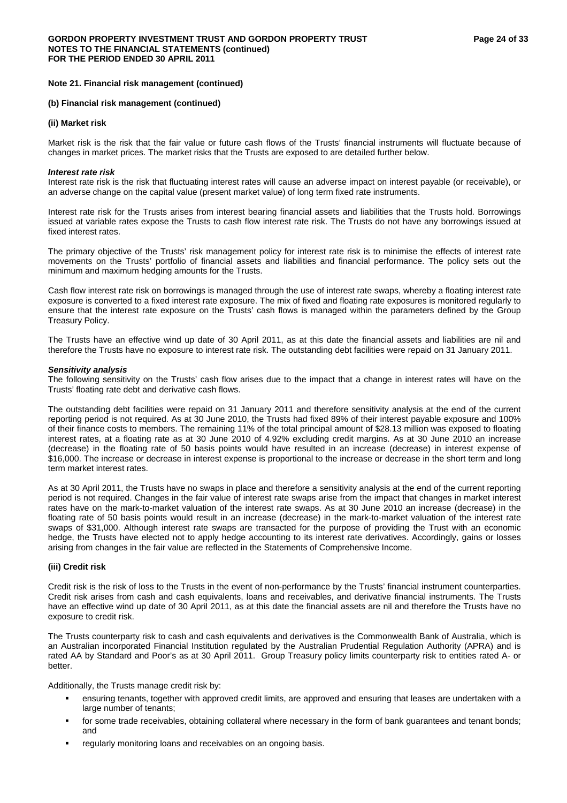#### **(b) Financial risk management (continued)**

## **(ii) Market risk**

Market risk is the risk that the fair value or future cash flows of the Trusts' financial instruments will fluctuate because of changes in market prices. The market risks that the Trusts are exposed to are detailed further below.

#### *Interest rate risk*

Interest rate risk is the risk that fluctuating interest rates will cause an adverse impact on interest payable (or receivable), or an adverse change on the capital value (present market value) of long term fixed rate instruments.

Interest rate risk for the Trusts arises from interest bearing financial assets and liabilities that the Trusts hold. Borrowings issued at variable rates expose the Trusts to cash flow interest rate risk. The Trusts do not have any borrowings issued at fixed interest rates.

The primary objective of the Trusts' risk management policy for interest rate risk is to minimise the effects of interest rate movements on the Trusts' portfolio of financial assets and liabilities and financial performance. The policy sets out the minimum and maximum hedging amounts for the Trusts.

Cash flow interest rate risk on borrowings is managed through the use of interest rate swaps, whereby a floating interest rate exposure is converted to a fixed interest rate exposure. The mix of fixed and floating rate exposures is monitored regularly to ensure that the interest rate exposure on the Trusts' cash flows is managed within the parameters defined by the Group Treasury Policy.

The Trusts have an effective wind up date of 30 April 2011, as at this date the financial assets and liabilities are nil and therefore the Trusts have no exposure to interest rate risk. The outstanding debt facilities were repaid on 31 January 2011.

## *Sensitivity analysis*

The following sensitivity on the Trusts' cash flow arises due to the impact that a change in interest rates will have on the Trusts' floating rate debt and derivative cash flows.

The outstanding debt facilities were repaid on 31 January 2011 and therefore sensitivity analysis at the end of the current reporting period is not required. As at 30 June 2010, the Trusts had fixed 89% of their interest payable exposure and 100% of their finance costs to members. The remaining 11% of the total principal amount of \$28.13 million was exposed to floating interest rates, at a floating rate as at 30 June 2010 of 4.92% excluding credit margins. As at 30 June 2010 an increase (decrease) in the floating rate of 50 basis points would have resulted in an increase (decrease) in interest expense of \$16,000. The increase or decrease in interest expense is proportional to the increase or decrease in the short term and long term market interest rates.

As at 30 April 2011, the Trusts have no swaps in place and therefore a sensitivity analysis at the end of the current reporting period is not required. Changes in the fair value of interest rate swaps arise from the impact that changes in market interest rates have on the mark-to-market valuation of the interest rate swaps. As at 30 June 2010 an increase (decrease) in the floating rate of 50 basis points would result in an increase (decrease) in the mark-to-market valuation of the interest rate swaps of \$31,000. Although interest rate swaps are transacted for the purpose of providing the Trust with an economic hedge, the Trusts have elected not to apply hedge accounting to its interest rate derivatives. Accordingly, gains or losses arising from changes in the fair value are reflected in the Statements of Comprehensive Income.

## **(iii) Credit risk**

Credit risk is the risk of loss to the Trusts in the event of non-performance by the Trusts' financial instrument counterparties. Credit risk arises from cash and cash equivalents, loans and receivables, and derivative financial instruments. The Trusts have an effective wind up date of 30 April 2011, as at this date the financial assets are nil and therefore the Trusts have no exposure to credit risk.

The Trusts counterparty risk to cash and cash equivalents and derivatives is the Commonwealth Bank of Australia, which is an Australian incorporated Financial Institution regulated by the Australian Prudential Regulation Authority (APRA) and is rated AA by Standard and Poor's as at 30 April 2011. Group Treasury policy limits counterparty risk to entities rated A- or better.

Additionally, the Trusts manage credit risk by:

- ensuring tenants, together with approved credit limits, are approved and ensuring that leases are undertaken with a large number of tenants;
- for some trade receivables, obtaining collateral where necessary in the form of bank guarantees and tenant bonds; and
- regularly monitoring loans and receivables on an ongoing basis.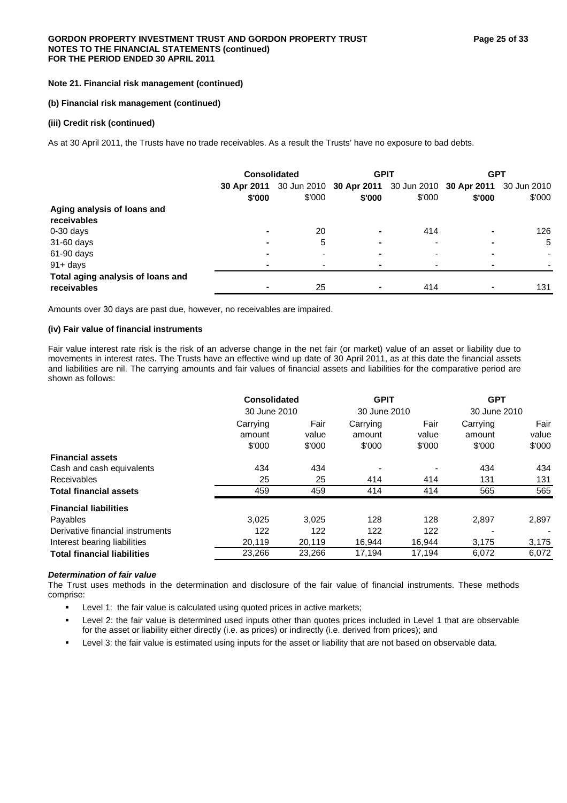## **(b) Financial risk management (continued)**

## **(iii) Credit risk (continued)**

As at 30 April 2011, the Trusts have no trade receivables. As a result the Trusts' have no exposure to bad debts.

|                                                  | <b>Consolidated</b> |        | <b>GPIT</b>                                                                       |                          | <b>GPT</b> |        |
|--------------------------------------------------|---------------------|--------|-----------------------------------------------------------------------------------|--------------------------|------------|--------|
|                                                  | \$'000              | \$'000 | 30 Apr 2011 30 Jun 2010 30 Apr 2011 30 Jun 2010 30 Apr 2011 30 Jun 2010<br>\$'000 | \$'000                   | \$'000     | \$'000 |
| Aging analysis of loans and<br>receivables       |                     |        |                                                                                   |                          |            |        |
| $0-30$ days                                      | ۰                   | 20     | ۰                                                                                 | 414                      |            | 126    |
| 31-60 days                                       | ۰                   | 5      | -                                                                                 | $\overline{\phantom{a}}$ |            | 5      |
| 61-90 days                                       |                     |        | -                                                                                 |                          |            | ۰      |
| $91 + days$                                      | ۰                   |        | -                                                                                 |                          |            |        |
| Total aging analysis of loans and<br>receivables | ۰                   | 25     |                                                                                   | 414                      |            | 131    |

Amounts over 30 days are past due, however, no receivables are impaired.

## **(iv) Fair value of financial instruments**

Fair value interest rate risk is the risk of an adverse change in the net fair (or market) value of an asset or liability due to movements in interest rates. The Trusts have an effective wind up date of 30 April 2011, as at this date the financial assets and liabilities are nil. The carrying amounts and fair values of financial assets and liabilities for the comparative period are shown as follows:

|                                    | Consolidated |        | <b>GPIT</b> |              | <b>GPT</b> |              |  |
|------------------------------------|--------------|--------|-------------|--------------|------------|--------------|--|
|                                    | 30 June 2010 |        |             | 30 June 2010 |            | 30 June 2010 |  |
|                                    | Carrying     | Fair   | Carrying    | Fair         | Carrying   | Fair         |  |
|                                    | amount       | value  | amount      | value        | amount     | value        |  |
|                                    | \$'000       | \$'000 | \$'000      | \$'000       | \$'000     | \$'000       |  |
| <b>Financial assets</b>            |              |        |             |              |            |              |  |
| Cash and cash equivalents          | 434          | 434    |             |              | 434        | 434          |  |
| <b>Receivables</b>                 | 25           | 25     | 414         | 414          | 131        | 131          |  |
| <b>Total financial assets</b>      | 459          | 459    | 414         | 414          | 565        | 565          |  |
| <b>Financial liabilities</b>       |              |        |             |              |            |              |  |
| Payables                           | 3,025        | 3.025  | 128         | 128          | 2,897      | 2,897        |  |
| Derivative financial instruments   | 122          | 122    | 122         | 122          |            |              |  |
| Interest bearing liabilities       | 20,119       | 20,119 | 16,944      | 16,944       | 3,175      | 3,175        |  |
| <b>Total financial liabilities</b> | 23,266       | 23,266 | 17,194      | 17,194       | 6,072      | 6,072        |  |

## *Determination of fair value*

The Trust uses methods in the determination and disclosure of the fair value of financial instruments. These methods comprise:

- Level 1: the fair value is calculated using quoted prices in active markets;
- Level 2: the fair value is determined used inputs other than quotes prices included in Level 1 that are observable for the asset or liability either directly (i.e. as prices) or indirectly (i.e. derived from prices); and
- Level 3: the fair value is estimated using inputs for the asset or liability that are not based on observable data.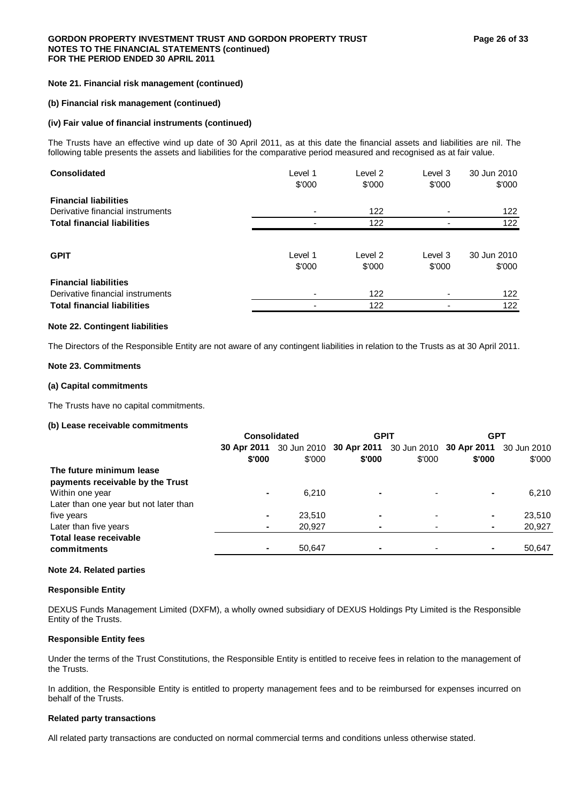## **(b) Financial risk management (continued)**

## **(iv) Fair value of financial instruments (continued)**

The Trusts have an effective wind up date of 30 April 2011, as at this date the financial assets and liabilities are nil. The following table presents the assets and liabilities for the comparative period measured and recognised as at fair value.

| <b>Consolidated</b>                | Level 1<br>\$'000 | Level 2<br>\$'000 | Level 3<br>\$'000 | 30 Jun 2010<br>\$'000 |
|------------------------------------|-------------------|-------------------|-------------------|-----------------------|
| <b>Financial liabilities</b>       |                   |                   |                   |                       |
| Derivative financial instruments   |                   | 122               |                   | 122                   |
| <b>Total financial liabilities</b> |                   | 122               |                   | 122                   |
| <b>GPIT</b>                        | Level 1<br>\$'000 | Level 2<br>\$'000 | Level 3<br>\$'000 | 30 Jun 2010<br>\$'000 |
| <b>Financial liabilities</b>       |                   |                   |                   |                       |
| Derivative financial instruments   |                   | 122               |                   | 122                   |
| <b>Total financial liabilities</b> |                   | 122               |                   | 122                   |

## **Note 22. Contingent liabilities**

The Directors of the Responsible Entity are not aware of any contingent liabilities in relation to the Trusts as at 30 April 2011.

#### **Note 23. Commitments**

## **(a) Capital commitments**

The Trusts have no capital commitments.

## **(b) Lease receivable commitments**

|                                        | <b>Consolidated</b> |        | <b>GPIT</b>              |        | <b>GPT</b>                                                  |        |
|----------------------------------------|---------------------|--------|--------------------------|--------|-------------------------------------------------------------|--------|
|                                        | 30 Apr 2011         |        |                          |        | 30 Jun 2010 30 Apr 2011 30 Jun 2010 30 Apr 2011 30 Jun 2010 |        |
|                                        | \$'000              | \$'000 | \$'000                   | \$'000 | \$'000                                                      | \$'000 |
| The future minimum lease               |                     |        |                          |        |                                                             |        |
| payments receivable by the Trust       |                     |        |                          |        |                                                             |        |
| Within one year                        | ۰                   | 6.210  | ۰                        |        |                                                             | 6.210  |
| Later than one year but not later than |                     |        |                          |        |                                                             |        |
| five years                             | ۰                   | 23,510 | $\overline{\phantom{0}}$ |        | ۰                                                           | 23,510 |
| Later than five years                  | ۰                   | 20,927 | $\overline{\phantom{0}}$ |        |                                                             | 20,927 |
| Total lease receivable                 |                     |        |                          |        |                                                             |        |
| commitments                            | ۰                   | 50.647 | ۰                        |        | ۰                                                           | 50,647 |
|                                        |                     |        |                          |        |                                                             |        |

#### **Note 24. Related parties**

## **Responsible Entity**

DEXUS Funds Management Limited (DXFM), a wholly owned subsidiary of DEXUS Holdings Pty Limited is the Responsible Entity of the Trusts.

#### **Responsible Entity fees**

Under the terms of the Trust Constitutions, the Responsible Entity is entitled to receive fees in relation to the management of the Trusts.

In addition, the Responsible Entity is entitled to property management fees and to be reimbursed for expenses incurred on behalf of the Trusts.

#### **Related party transactions**

All related party transactions are conducted on normal commercial terms and conditions unless otherwise stated.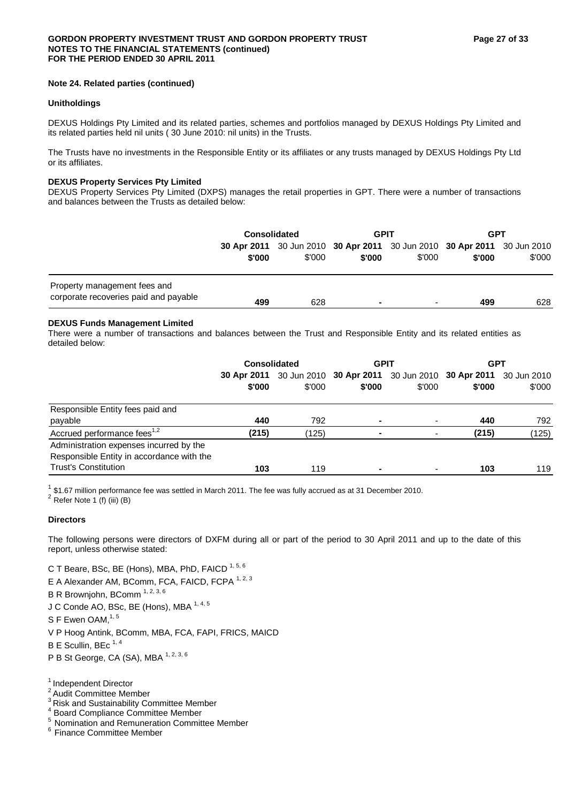## **Note 24. Related parties (continued)**

## **Unitholdings**

DEXUS Holdings Pty Limited and its related parties, schemes and portfolios managed by DEXUS Holdings Pty Limited and its related parties held nil units ( 30 June 2010: nil units) in the Trusts.

The Trusts have no investments in the Responsible Entity or its affiliates or any trusts managed by DEXUS Holdings Pty Ltd or its affiliates.

## **DEXUS Property Services Pty Limited**

DEXUS Property Services Pty Limited (DXPS) manages the retail properties in GPT. There were a number of transactions and balances between the Trusts as detailed below:

|                                                                       | <b>Consolidated</b> |        | <b>GPIT</b> |                          | <b>GPT</b>                                                                        |        |
|-----------------------------------------------------------------------|---------------------|--------|-------------|--------------------------|-----------------------------------------------------------------------------------|--------|
|                                                                       | \$'000              | \$'000 | \$'000      | \$'000                   | 30 Apr 2011 30 Jun 2010 30 Apr 2011 30 Jun 2010 30 Apr 2011 30 Jun 2010<br>\$'000 | \$'000 |
| Property management fees and<br>corporate recoveries paid and payable | 499                 | 628    | $\sim$      | $\overline{\phantom{0}}$ | 499                                                                               | 628    |

## **DEXUS Funds Management Limited**

There were a number of transactions and balances between the Trust and Responsible Entity and its related entities as detailed below:

|                                                                                                                     | <b>Consolidated</b> |        | <b>GPIT</b>                                                                       |                          | <b>GPT</b> |        |
|---------------------------------------------------------------------------------------------------------------------|---------------------|--------|-----------------------------------------------------------------------------------|--------------------------|------------|--------|
|                                                                                                                     | \$'000              | \$'000 | 30 Apr 2011 30 Jun 2010 30 Apr 2011 30 Jun 2010 30 Apr 2011 30 Jun 2010<br>\$'000 | \$'000                   | \$'000     | \$'000 |
| Responsible Entity fees paid and<br>payable                                                                         | 440                 | 792    |                                                                                   | $\overline{\phantom{0}}$ | 440        | 792    |
| Accrued performance fees <sup>1,2</sup>                                                                             | (215)               | (125)  |                                                                                   | ٠                        | (215)      | (125)  |
| Administration expenses incurred by the<br>Responsible Entity in accordance with the<br><b>Trust's Constitution</b> | 103                 | 119    | $\overline{\phantom{0}}$                                                          | $\blacksquare$           | 103        | 119    |

<sup>1</sup> \$1.67 million performance fee was settled in March 2011. The fee was fully accrued as at 31 December 2010.<br><sup>2</sup> Refer Note 1 (f) (iii) (B)

## **Directors**

The following persons were directors of DXFM during all or part of the period to 30 April 2011 and up to the date of this report, unless otherwise stated:

C T Beare, BSc, BE (Hons), MBA, PhD, FAICD 1, 5, 6

- E A Alexander AM, BComm, FCA, FAICD, FCPA 1, 2, 3
- B R Brownjohn, BComm 1, 2, 3, 6
- J C Conde AO, BSc, BE (Hons), MBA 1, 4, 5
- S F Ewen OAM, $1,5$
- V P Hoog Antink, BComm, MBA, FCA, FAPI, FRICS, MAICD
- $B \to$  Scullin, BEc  $^{1,4}$
- P B St George, CA (SA), MBA 1, 2, 3, 6
- 1 Independent Director
- <sup>2</sup> Audit Committee Member
- <sup>3</sup> Risk and Sustainability Committee Member
- 4 Board Compliance Committee Member
- 5 Nomination and Remuneration Committee Member<br>
<sup>6</sup> Finance Committee Member
-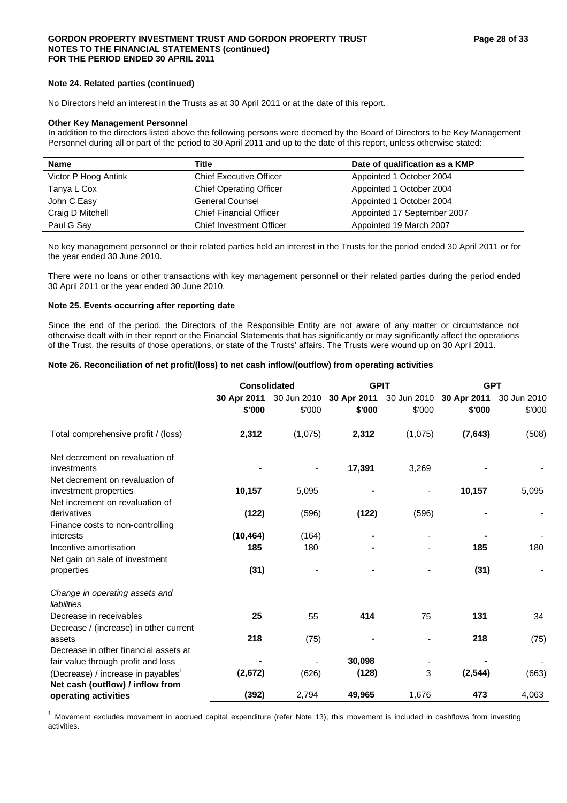## **Note 24. Related parties (continued)**

No Directors held an interest in the Trusts as at 30 April 2011 or at the date of this report.

#### **Other Key Management Personnel**

In addition to the directors listed above the following persons were deemed by the Board of Directors to be Key Management Personnel during all or part of the period to 30 April 2011 and up to the date of this report, unless otherwise stated:

| <b>Name</b>          | Title                           | Date of qualification as a KMP |
|----------------------|---------------------------------|--------------------------------|
| Victor P Hoog Antink | <b>Chief Executive Officer</b>  | Appointed 1 October 2004       |
| Tanya L Cox          | <b>Chief Operating Officer</b>  | Appointed 1 October 2004       |
| John C Easy          | <b>General Counsel</b>          | Appointed 1 October 2004       |
| Craig D Mitchell     | <b>Chief Financial Officer</b>  | Appointed 17 September 2007    |
| Paul G Say           | <b>Chief Investment Officer</b> | Appointed 19 March 2007        |

No key management personnel or their related parties held an interest in the Trusts for the period ended 30 April 2011 or for the year ended 30 June 2010.

There were no loans or other transactions with key management personnel or their related parties during the period ended 30 April 2011 or the year ended 30 June 2010.

## **Note 25. Events occurring after reporting date**

Since the end of the period, the Directors of the Responsible Entity are not aware of any matter or circumstance not otherwise dealt with in their report or the Financial Statements that has significantly or may significantly affect the operations of the Trust, the results of those operations, or state of the Trusts' affairs. The Trusts were wound up on 30 April 2011.

## **Note 26. Reconciliation of net profit/(loss) to net cash inflow/(outflow) from operating activities**

|                                                | <b>Consolidated</b> |             | <b>GPIT</b> |                         | <b>GPT</b>  |             |
|------------------------------------------------|---------------------|-------------|-------------|-------------------------|-------------|-------------|
|                                                | 30 Apr 2011         | 30 Jun 2010 |             | 30 Apr 2011 30 Jun 2010 | 30 Apr 2011 | 30 Jun 2010 |
|                                                | \$'000              | \$'000      | \$'000      | \$'000                  | \$'000      | \$'000      |
| Total comprehensive profit / (loss)            | 2,312               | (1,075)     | 2,312       | (1,075)                 | (7,643)     | (508)       |
| Net decrement on revaluation of                |                     |             |             |                         |             |             |
| investments                                    |                     |             | 17,391      | 3,269                   |             |             |
| Net decrement on revaluation of                |                     |             |             |                         |             |             |
| investment properties                          | 10,157              | 5,095       |             |                         | 10,157      | 5,095       |
| Net increment on revaluation of                |                     |             |             |                         |             |             |
| derivatives                                    | (122)               | (596)       | (122)       | (596)                   |             |             |
| Finance costs to non-controlling               |                     |             |             |                         |             |             |
| interests                                      | (10, 464)           | (164)       |             |                         |             |             |
| Incentive amortisation                         | 185                 | 180         |             |                         | 185         | 180         |
| Net gain on sale of investment                 |                     |             |             |                         |             |             |
| properties                                     | (31)                |             |             |                         | (31)        |             |
| Change in operating assets and<br>liabilities  |                     |             |             |                         |             |             |
| Decrease in receivables                        | 25                  | 55          | 414         | 75                      | 131         | 34          |
| Decrease / (increase) in other current         |                     |             |             |                         |             |             |
| assets                                         | 218                 | (75)        |             |                         | 218         | (75)        |
| Decrease in other financial assets at          |                     |             |             |                         |             |             |
| fair value through profit and loss             |                     |             | 30,098      |                         |             |             |
| (Decrease) / increase in payables <sup>1</sup> | (2,672)             | (626)       | (128)       | 3                       | (2, 544)    | (663)       |
| Net cash (outflow) / inflow from               |                     |             |             |                         |             |             |
| operating activities                           | (392)               | 2,794       | 49,965      | 1,676                   | 473         | 4,063       |

 $1$  Movement excludes movement in accrued capital expenditure (refer Note 13); this movement is included in cashflows from investing activities.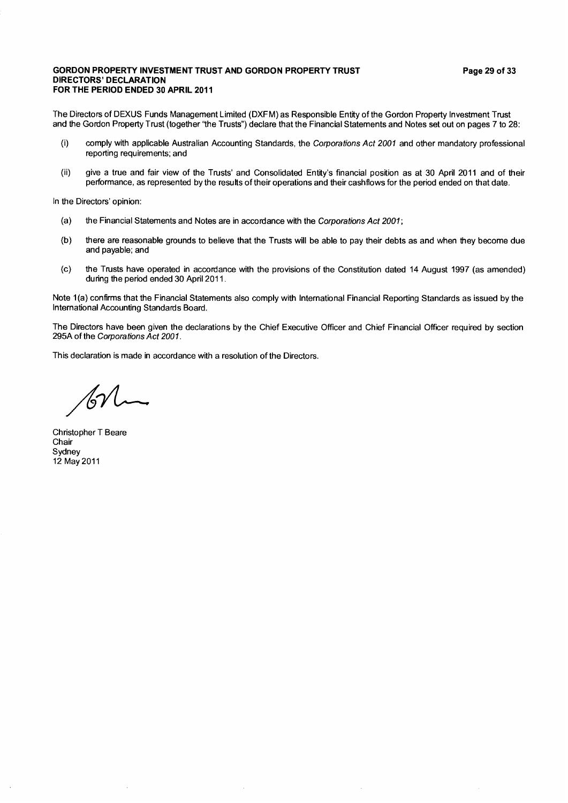## **GORDON PROPERTY INVESTMENT TRUST AND GORDON PROPERTY TRUST DIRECTORS' DECLARATION** FOR THE PERIOD ENDED 30 APRIL 2011

The Directors of DEXUS Funds Management Limited (DXFM) as Responsible Entity of the Gordon Property Investment Trust and the Gordon Property Trust (together "the Trusts") declare that the Financial Statements and Notes set out on pages 7 to 28:

- comply with applicable Australian Accounting Standards, the Corporations Act 2001 and other mandatory professional  $(i)$ reporting requirements; and
- give a true and fair view of the Trusts' and Consolidated Entity's financial position as at 30 April 2011 and of their  $(ii)$ performance, as represented by the results of their operations and their cashflows for the period ended on that date.

In the Directors' opinion:

- $(a)$ the Financial Statements and Notes are in accordance with the Corporations Act 2001;
- $(b)$ there are reasonable grounds to believe that the Trusts will be able to pay their debts as and when they become due and payable; and
- the Trusts have operated in accordance with the provisions of the Constitution dated 14 August 1997 (as amended)  $(c)$ during the period ended 30 April 2011.

Note 1(a) confirms that the Financial Statements also comply with International Financial Reporting Standards as issued by the International Accounting Standards Board.

The Directors have been given the declarations by the Chief Executive Officer and Chief Financial Officer required by section 295A of the Corporations Act 2001.

This declaration is made in accordance with a resolution of the Directors.

Christopher T Beare Chair Sydney 12 May 2011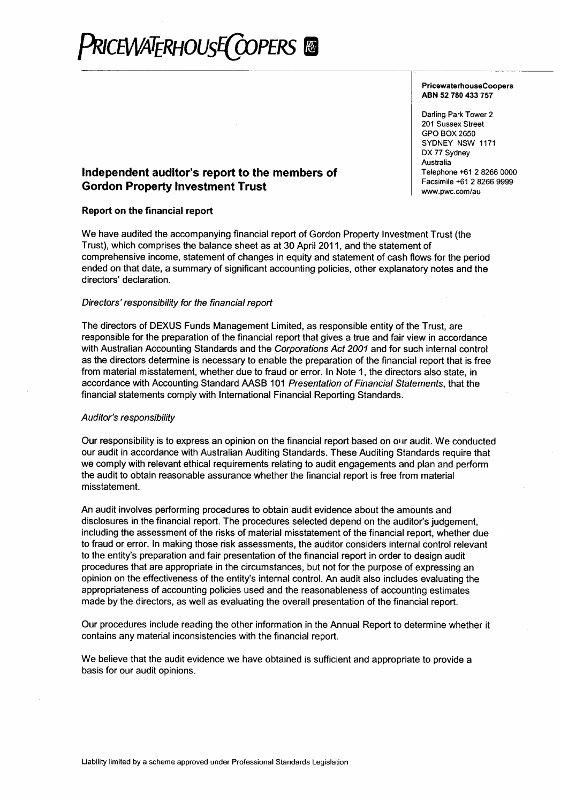## **RICEWATERHOUSE COPERS ®**

#### **PricewaterhouseCoopers** ABN 52 780 433 757

Darling Park Tower 2 201 Sussex Street GPO BOX 2650 SYDNEY NSW 1171 DX 77 Sydney Australia Telephone +61 2 8266 0000 Facsimile +61 2 8266 9999 www.pwc.com/au

## Independent auditor's report to the members of **Gordon Property Investment Trust**

## Report on the financial report

We have audited the accompanying financial report of Gordon Property Investment Trust (the Trust), which comprises the balance sheet as at 30 April 2011, and the statement of comprehensive income, statement of changes in equity and statement of cash flows for the period ended on that date, a summary of significant accounting policies, other explanatory notes and the directors' declaration.

## Directors' responsibility for the financial report

The directors of DEXUS Funds Management Limited, as responsible entity of the Trust, are responsible for the preparation of the financial report that gives a true and fair view in accordance with Australian Accounting Standards and the Corporations Act 2001 and for such internal control as the directors determine is necessary to enable the preparation of the financial report that is free from material misstatement, whether due to fraud or error. In Note 1, the directors also state, in accordance with Accounting Standard AASB 101 Presentation of Financial Statements, that the financial statements comply with International Financial Reporting Standards.

## **Auditor's responsibility**

Our responsibility is to express an opinion on the financial report based on our audit. We conducted our audit in accordance with Australian Auditing Standards. These Auditing Standards require that we comply with relevant ethical requirements relating to audit engagements and plan and perform the audit to obtain reasonable assurance whether the financial report is free from material misstatement.

An audit involves performing procedures to obtain audit evidence about the amounts and disclosures in the financial report. The procedures selected depend on the auditor's judgement, including the assessment of the risks of material misstatement of the financial report, whether due to fraud or error. In making those risk assessments, the auditor considers internal control relevant to the entity's preparation and fair presentation of the financial report in order to design audit procedures that are appropriate in the circumstances, but not for the purpose of expressing an opinion on the effectiveness of the entity's internal control. An audit also includes evaluating the appropriateness of accounting policies used and the reasonableness of accounting estimates made by the directors, as well as evaluating the overall presentation of the financial report.

Our procedures include reading the other information in the Annual Report to determine whether it contains any material inconsistencies with the financial report.

We believe that the audit evidence we have obtained is sufficient and appropriate to provide a basis for our audit opinions.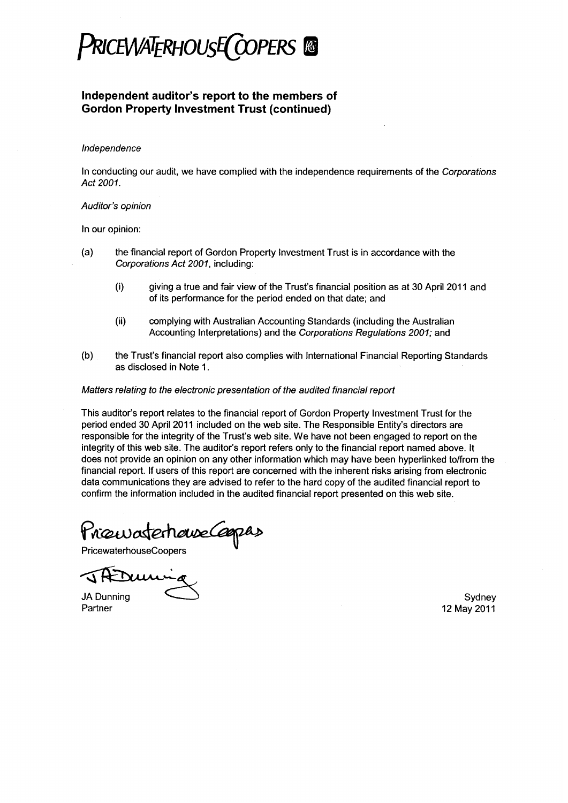

## Independent auditor's report to the members of **Gordon Property Investment Trust (continued)**

## Independence

In conducting our audit, we have complied with the independence requirements of the Corporations Act 2001.

## Auditor's opinion

In our opinion:

- $(a)$ the financial report of Gordon Property Investment Trust is in accordance with the Corporations Act 2001, including:
	- $(i)$ giving a true and fair view of the Trust's financial position as at 30 April 2011 and of its performance for the period ended on that date; and
	- $(ii)$ complying with Australian Accounting Standards (including the Australian Accounting Interpretations) and the Corporations Regulations 2001; and
- the Trust's financial report also complies with International Financial Reporting Standards  $(b)$ as disclosed in Note 1.

## Matters relating to the electronic presentation of the audited financial report

This auditor's report relates to the financial report of Gordon Property Investment Trust for the period ended 30 April 2011 included on the web site. The Responsible Entity's directors are responsible for the integrity of the Trust's web site. We have not been engaged to report on the integrity of this web site. The auditor's report refers only to the financial report named above. It does not provide an opinion on any other information which may have been hyperlinked to/from the financial report. If users of this report are concerned with the inherent risks arising from electronic data communications they are advised to refer to the hard copy of the audited financial report to confirm the information included in the audited financial report presented on this web site.

Priouvatementedapas

**PricewaterhouseCoopers** 

**JA Dunning** Partner

Sydney 12 May 2011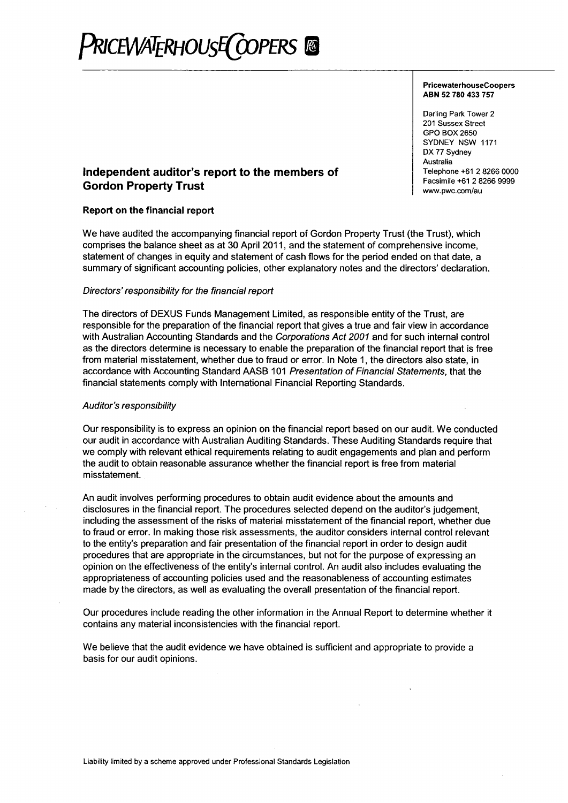## **PRICEWATERHOUSE COPERS**

#### PricewaterhouseCoopers ABN 52 780 433 757

Darling Park Tower 2 201 Sussex Street **GPO BOX 2650** SYDNEY NSW 1171 DX 77 Sydney Australia Telephone +61 2 8266 0000 Facsimile +61 2 8266 9999 www.pwc.com/au

## Independent auditor's report to the members of **Gordon Property Trust**

## Report on the financial report

We have audited the accompanying financial report of Gordon Property Trust (the Trust), which comprises the balance sheet as at 30 April 2011, and the statement of comprehensive income, statement of changes in equity and statement of cash flows for the period ended on that date, a summary of significant accounting policies, other explanatory notes and the directors' declaration.

## Directors' responsibility for the financial report

The directors of DEXUS Funds Management Limited, as responsible entity of the Trust, are responsible for the preparation of the financial report that gives a true and fair view in accordance with Australian Accounting Standards and the Corporations Act 2001 and for such internal control as the directors determine is necessary to enable the preparation of the financial report that is free from material misstatement, whether due to fraud or error. In Note 1, the directors also state, in accordance with Accounting Standard AASB 101 Presentation of Financial Statements, that the financial statements comply with International Financial Reporting Standards.

## Auditor's responsibility

Our responsibility is to express an opinion on the financial report based on our audit. We conducted our audit in accordance with Australian Auditing Standards. These Auditing Standards require that we comply with relevant ethical requirements relating to audit engagements and plan and perform the audit to obtain reasonable assurance whether the financial report is free from material misstatement.

An audit involves performing procedures to obtain audit evidence about the amounts and disclosures in the financial report. The procedures selected depend on the auditor's judgement, including the assessment of the risks of material misstatement of the financial report, whether due to fraud or error. In making those risk assessments, the auditor considers internal control relevant to the entity's preparation and fair presentation of the financial report in order to design audit procedures that are appropriate in the circumstances, but not for the purpose of expressing an opinion on the effectiveness of the entity's internal control. An audit also includes evaluating the appropriateness of accounting policies used and the reasonableness of accounting estimates made by the directors, as well as evaluating the overall presentation of the financial report.

Our procedures include reading the other information in the Annual Report to determine whether it contains any material inconsistencies with the financial report.

We believe that the audit evidence we have obtained is sufficient and appropriate to provide a basis for our audit opinions.